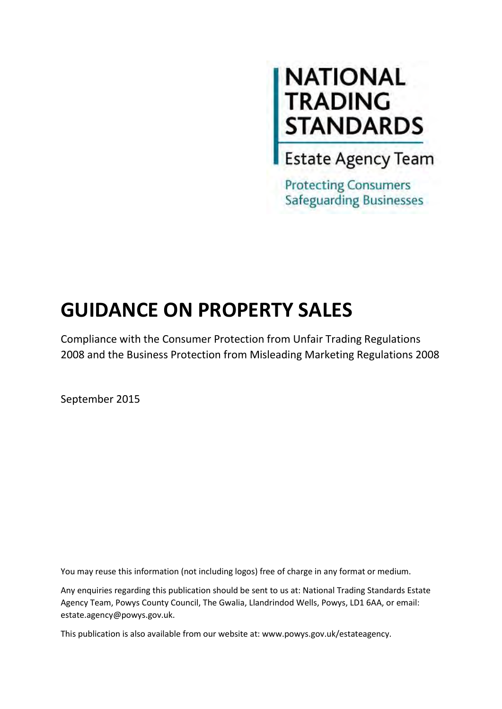# **NATIONAL<br>TRADING<br>STANDARDS**<br>Estate Agency Team

**Protecting Consumers Safeguarding Businesses** 

# **GUIDANCE ON PROPERTY SALES**

Compliance with the Consumer Protection from Unfair Trading Regulations 2008 and the Business Protection from Misleading Marketing Regulations 2008

September 2015

You may reuse this information (not including logos) free of charge in any format or medium.

Any enquiries regarding this publication should be sent to us at: National Trading Standards Estate Agency Team, Powys County Council, The Gwalia, Llandrindod Wells, Powys, LD1 6AA, or email: estate.agency@powys.gov.uk.

This publication is also available from our website at: www.powys.gov.uk/estateagency.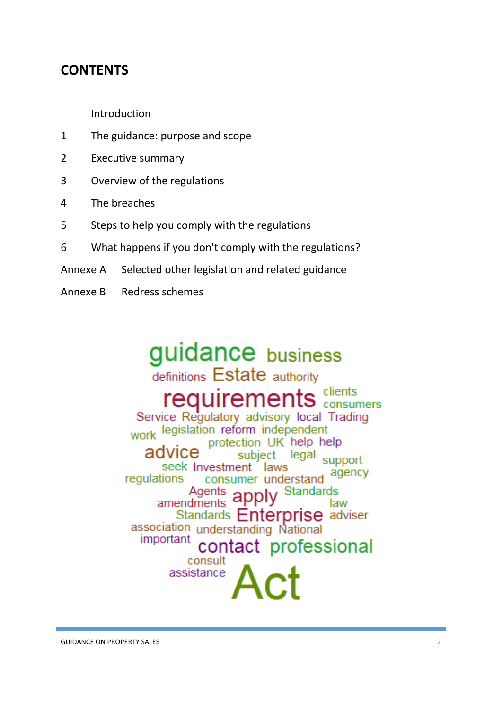# **CONTENTS**

Introduction

- 1 The guidance: purpose and scope
- 2 Executive summary
- 3 Overview of the regulations
- 4 The breaches
- 5 Steps to help you comply with the regulations
- 6 What happens if you don't comply with the regulations?
- Annexe A Selected other legislation and related guidance
- Annexe B Redress schemes

# guidance business

definitions Estate authority requirements clients Service Regulatory advisory local Trading work legislation reform independent protection UK help help advice subject legal support seek Investment laws agency regulations consumer understand **Standards** Agents amendments law Standards **Enterprise** adviser association understanding National important contact professional consult assistance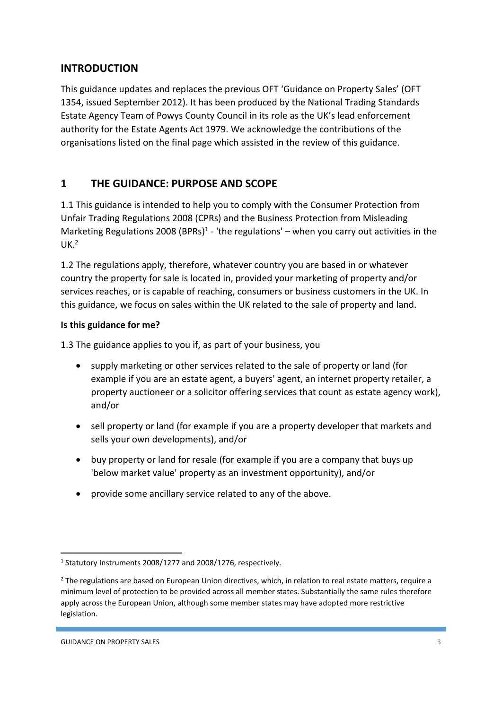# **INTRODUCTION**

This guidance updates and replaces the previous OFT 'Guidance on Property Sales' (OFT 1354, issued September 2012). It has been produced by the National Trading Standards Estate Agency Team of Powys County Council in its role as the UK's lead enforcement authority for the Estate Agents Act 1979. We acknowledge the contributions of the organisations listed on the final page which assisted in the review of this guidance.

# **1 THE GUIDANCE: PURPOSE AND SCOPE**

1.1 This guidance is intended to help you to comply with the Consumer Protection from Unfair Trading Regulations 2008 (CPRs) and the Business Protection from Misleading Marketing Regulations 2008 (BPRs)<sup>1</sup> - 'the regulations' – when you carry out activities in the UK. 2

1.2 The regulations apply, therefore, whatever country you are based in or whatever country the property for sale is located in, provided your marketing of property and/or services reaches, or is capable of reaching, consumers or business customers in the UK. In this guidance, we focus on sales within the UK related to the sale of property and land.

# **Is this guidance for me?**

1.3 The guidance applies to you if, as part of your business, you

- supply marketing or other services related to the sale of property or land (for example if you are an estate agent, a buyers' agent, an internet property retailer, a property auctioneer or a solicitor offering services that count as estate agency work), and/or
- sell property or land (for example if you are a property developer that markets and sells your own developments), and/or
- buy property or land for resale (for example if you are a company that buys up 'below market value' property as an investment opportunity), and/or
- provide some ancillary service related to any of the above.

<sup>&</sup>lt;sup>1</sup> Statutory Instruments 2008/1277 and 2008/1276, respectively.

<sup>&</sup>lt;sup>2</sup> The regulations are based on European Union directives, which, in relation to real estate matters, require a minimum level of protection to be provided across all member states. Substantially the same rules therefore apply across the European Union, although some member states may have adopted more restrictive legislation.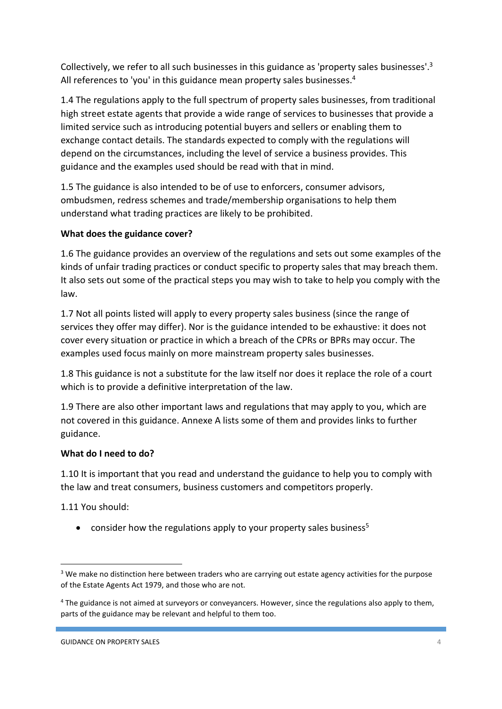Collectively, we refer to all such businesses in this guidance as 'property sales businesses'.<sup>3</sup> All references to 'you' in this guidance mean property sales businesses.<sup>4</sup>

1.4 The regulations apply to the full spectrum of property sales businesses, from traditional high street estate agents that provide a wide range of services to businesses that provide a limited service such as introducing potential buyers and sellers or enabling them to exchange contact details. The standards expected to comply with the regulations will depend on the circumstances, including the level of service a business provides. This guidance and the examples used should be read with that in mind.

1.5 The guidance is also intended to be of use to enforcers, consumer advisors, ombudsmen, redress schemes and trade/membership organisations to help them understand what trading practices are likely to be prohibited.

# **What does the guidance cover?**

1.6 The guidance provides an overview of the regulations and sets out some examples of the kinds of unfair trading practices or conduct specific to property sales that may breach them. It also sets out some of the practical steps you may wish to take to help you comply with the law.

1.7 Not all points listed will apply to every property sales business (since the range of services they offer may differ). Nor is the guidance intended to be exhaustive: it does not cover every situation or practice in which a breach of the CPRs or BPRs may occur. The examples used focus mainly on more mainstream property sales businesses.

1.8 This guidance is not a substitute for the law itself nor does it replace the role of a court which is to provide a definitive interpretation of the law.

1.9 There are also other important laws and regulations that may apply to you, which are not covered in this guidance. Annexe A lists some of them and provides links to further guidance.

### **What do I need to do?**

1.10 It is important that you read and understand the guidance to help you to comply with the law and treat consumers, business customers and competitors properly.

1.11 You should:

1

• consider how the regulations apply to your property sales business<sup>5</sup>

<sup>&</sup>lt;sup>3</sup> We make no distinction here between traders who are carrying out estate agency activities for the purpose of the Estate Agents Act 1979, and those who are not.

<sup>&</sup>lt;sup>4</sup> The guidance is not aimed at surveyors or conveyancers. However, since the regulations also apply to them, parts of the guidance may be relevant and helpful to them too.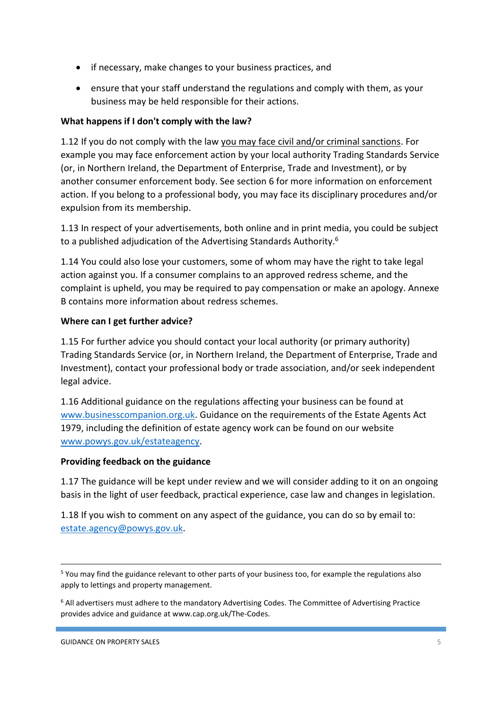- if necessary, make changes to your business practices, and
- ensure that your staff understand the regulations and comply with them, as your business may be held responsible for their actions.

# **What happens if I don't comply with the law?**

1.12 If you do not comply with the law you may face civil and/or criminal sanctions. For example you may face enforcement action by your local authority Trading Standards Service (or, in Northern Ireland, the Department of Enterprise, Trade and Investment), or by another consumer enforcement body. See section 6 for more information on enforcement action. If you belong to a professional body, you may face its disciplinary procedures and/or expulsion from its membership.

1.13 In respect of your advertisements, both online and in print media, you could be subject to a published adjudication of the Advertising Standards Authority.<sup>6</sup>

1.14 You could also lose your customers, some of whom may have the right to take legal action against you. If a consumer complains to an approved redress scheme, and the complaint is upheld, you may be required to pay compensation or make an apology. Annexe B contains more information about redress schemes.

# **Where can I get further advice?**

1.15 For further advice you should contact your local authority (or primary authority) Trading Standards Service (or, in Northern Ireland, the Department of Enterprise, Trade and Investment), contact your professional body or trade association, and/or seek independent legal advice.

1.16 Additional guidance on the regulations affecting your business can be found at [www.businesscompanion.org.uk.](http://www.businesscompanion.org.uk/) Guidance on the requirements of the Estate Agents Act 1979, including the definition of estate agency work can be found on our website [www.powys.gov.uk/estateagency.](http://www.powys.gov.uk/estateagency)

### **Providing feedback on the guidance**

1.17 The guidance will be kept under review and we will consider adding to it on an ongoing basis in the light of user feedback, practical experience, case law and changes in legislation.

1.18 If you wish to comment on any aspect of the guidance, you can do so by email to: [estate.agency@powys.gov.uk.](mailto:estate.agency@powys.gov.uk)

1

<sup>&</sup>lt;sup>5</sup> You may find the guidance relevant to other parts of your business too, for example the regulations also apply to lettings and property management.

<sup>&</sup>lt;sup>6</sup> All advertisers must adhere to the mandatory Advertising Codes. The Committee of Advertising Practice provides advice and guidance at www.cap.org.uk/The-Codes.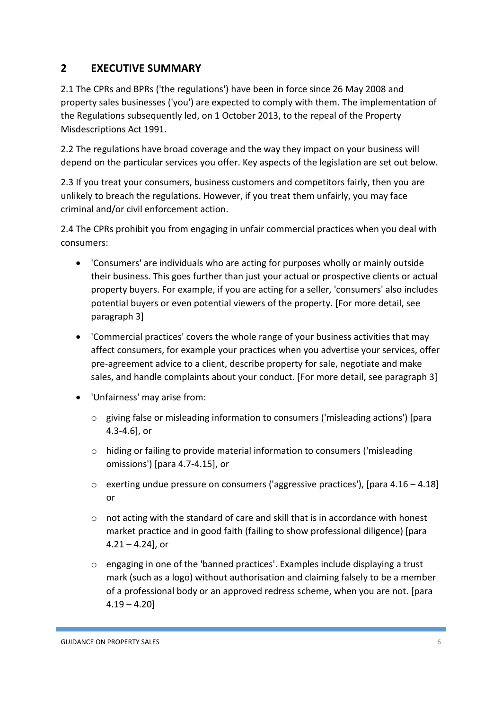# **2 EXECUTIVE SUMMARY**

2.1 The CPRs and BPRs ('the regulations') have been in force since 26 May 2008 and property sales businesses ('you') are expected to comply with them. The implementation of the Regulations subsequently led, on 1 October 2013, to the repeal of the Property Misdescriptions Act 1991.

2.2 The regulations have broad coverage and the way they impact on your business will depend on the particular services you offer. Key aspects of the legislation are set out below.

2.3 If you treat your consumers, business customers and competitors fairly, then you are unlikely to breach the regulations. However, if you treat them unfairly, you may face criminal and/or civil enforcement action.

2.4 The CPRs prohibit you from engaging in unfair commercial practices when you deal with consumers:

- 'Consumers' are individuals who are acting for purposes wholly or mainly outside their business. This goes further than just your actual or prospective clients or actual property buyers. For example, if you are acting for a seller, 'consumers' also includes potential buyers or even potential viewers of the property. [For more detail, see paragraph 3]
- 'Commercial practices' covers the whole range of your business activities that may affect consumers, for example your practices when you advertise your services, offer pre-agreement advice to a client, describe property for sale, negotiate and make sales, and handle complaints about your conduct. [For more detail, see paragraph 3]
- 'Unfairness' may arise from:
	- o giving false or misleading information to consumers ('misleading actions') [para 4.3-4.6], or
	- o hiding or failing to provide material information to consumers ('misleading omissions') [para 4.7-4.15], or
	- o exerting undue pressure on consumers ('aggressive practices'), [para 4.16 4.18] or
	- $\circ$  not acting with the standard of care and skill that is in accordance with honest market practice and in good faith (failing to show professional diligence) [para  $4.21 - 4.24$ , or
	- o engaging in one of the 'banned practices'. Examples include displaying a trust mark (such as a logo) without authorisation and claiming falsely to be a member of a professional body or an approved redress scheme, when you are not. [para  $4.19 - 4.20$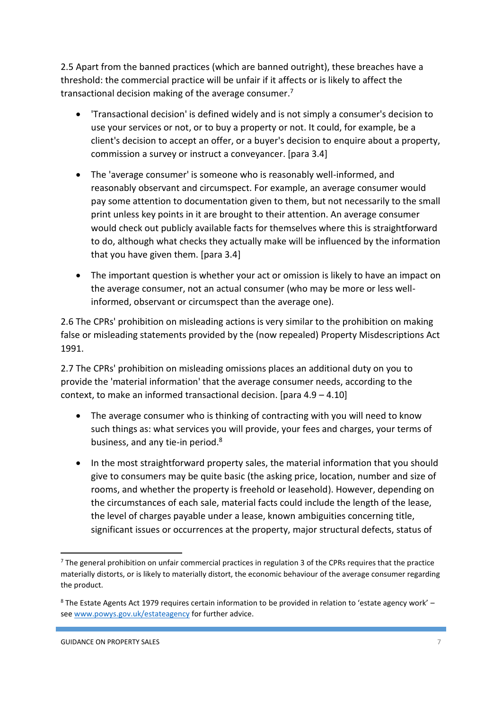2.5 Apart from the banned practices (which are banned outright), these breaches have a threshold: the commercial practice will be unfair if it affects or is likely to affect the transactional decision making of the average consumer.<sup>7</sup>

- 'Transactional decision' is defined widely and is not simply a consumer's decision to use your services or not, or to buy a property or not. It could, for example, be a client's decision to accept an offer, or a buyer's decision to enquire about a property, commission a survey or instruct a conveyancer. [para 3.4]
- The 'average consumer' is someone who is reasonably well-informed, and reasonably observant and circumspect. For example, an average consumer would pay some attention to documentation given to them, but not necessarily to the small print unless key points in it are brought to their attention. An average consumer would check out publicly available facts for themselves where this is straightforward to do, although what checks they actually make will be influenced by the information that you have given them. [para 3.4]
- The important question is whether your act or omission is likely to have an impact on the average consumer, not an actual consumer (who may be more or less wellinformed, observant or circumspect than the average one).

2.6 The CPRs' prohibition on misleading actions is very similar to the prohibition on making false or misleading statements provided by the (now repealed) Property Misdescriptions Act 1991.

2.7 The CPRs' prohibition on misleading omissions places an additional duty on you to provide the 'material information' that the average consumer needs, according to the context, to make an informed transactional decision. [para 4.9 – 4.10]

- The average consumer who is thinking of contracting with you will need to know such things as: what services you will provide, your fees and charges, your terms of business, and any tie-in period.<sup>8</sup>
- In the most straightforward property sales, the material information that you should give to consumers may be quite basic (the asking price, location, number and size of rooms, and whether the property is freehold or leasehold). However, depending on the circumstances of each sale, material facts could include the length of the lease, the level of charges payable under a lease, known ambiguities concerning title, significant issues or occurrences at the property, major structural defects, status of

**<sup>.</sup>** <sup>7</sup> The general prohibition on unfair commercial practices in regulation 3 of the CPRs requires that the practice materially distorts, or is likely to materially distort, the economic behaviour of the average consumer regarding the product.

<sup>&</sup>lt;sup>8</sup> The Estate Agents Act 1979 requires certain information to be provided in relation to 'estate agency work' see [www.powys.gov.uk/estateagency f](http://www.powys.gov.uk/estateagency)or further advice.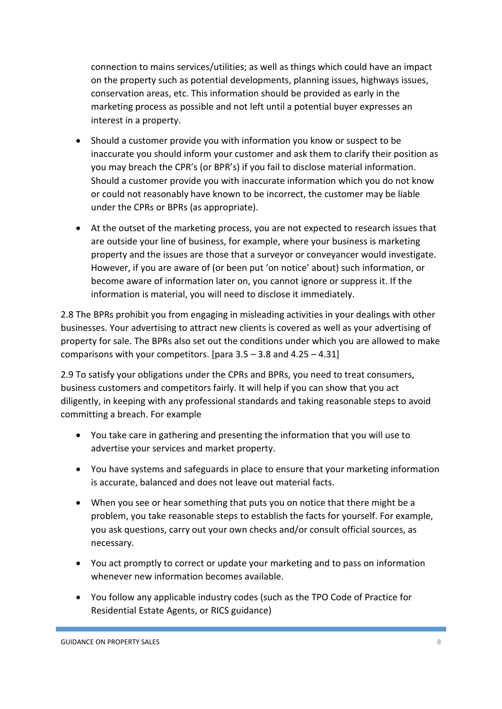connection to mains services/utilities; as well as things which could have an impact on the property such as potential developments, planning issues, highways issues, conservation areas, etc. This information should be provided as early in the marketing process as possible and not left until a potential buyer expresses an interest in a property.

- Should a customer provide you with information you know or suspect to be inaccurate you should inform your customer and ask them to clarify their position as you may breach the CPR's (or BPR's) if you fail to disclose material information. Should a customer provide you with inaccurate information which you do not know or could not reasonably have known to be incorrect, the customer may be liable under the CPRs or BPRs (as appropriate).
- At the outset of the marketing process, you are not expected to research issues that are outside your line of business, for example, where your business is marketing property and the issues are those that a surveyor or conveyancer would investigate. However, if you are aware of (or been put 'on notice' about) such information, or become aware of information later on, you cannot ignore or suppress it. If the information is material, you will need to disclose it immediately.

2.8 The BPRs prohibit you from engaging in misleading activities in your dealings with other businesses. Your advertising to attract new clients is covered as well as your advertising of property for sale. The BPRs also set out the conditions under which you are allowed to make comparisons with your competitors. [para  $3.5 - 3.8$  and  $4.25 - 4.31$ ]

2.9 To satisfy your obligations under the CPRs and BPRs, you need to treat consumers, business customers and competitors fairly. It will help if you can show that you act diligently, in keeping with any professional standards and taking reasonable steps to avoid committing a breach. For example

- You take care in gathering and presenting the information that you will use to advertise your services and market property.
- You have systems and safeguards in place to ensure that your marketing information is accurate, balanced and does not leave out material facts.
- When you see or hear something that puts you on notice that there might be a problem, you take reasonable steps to establish the facts for yourself. For example, you ask questions, carry out your own checks and/or consult official sources, as necessary.
- You act promptly to correct or update your marketing and to pass on information whenever new information becomes available.
- You follow any applicable industry codes (such as the TPO Code of Practice for Residential Estate Agents, or RICS guidance)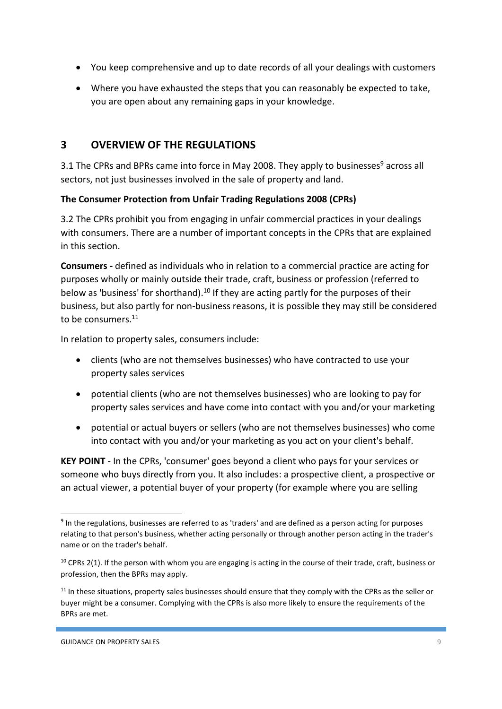- You keep comprehensive and up to date records of all your dealings with customers
- Where you have exhausted the steps that you can reasonably be expected to take, you are open about any remaining gaps in your knowledge.

# **3 OVERVIEW OF THE REGULATIONS**

3.1 The CPRs and BPRs came into force in May 2008. They apply to businesses<sup>9</sup> across all sectors, not just businesses involved in the sale of property and land.

# **The Consumer Protection from Unfair Trading Regulations 2008 (CPRs)**

3.2 The CPRs prohibit you from engaging in unfair commercial practices in your dealings with consumers. There are a number of important concepts in the CPRs that are explained in this section.

**Consumers -** defined as individuals who in relation to a commercial practice are acting for purposes wholly or mainly outside their trade, craft, business or profession (referred to below as 'business' for shorthand).<sup>10</sup> If they are acting partly for the purposes of their business, but also partly for non-business reasons, it is possible they may still be considered to be consumers.<sup>11</sup>

In relation to property sales, consumers include:

- clients (who are not themselves businesses) who have contracted to use your property sales services
- potential clients (who are not themselves businesses) who are looking to pay for property sales services and have come into contact with you and/or your marketing
- potential or actual buyers or sellers (who are not themselves businesses) who come into contact with you and/or your marketing as you act on your client's behalf.

**KEY POINT** - In the CPRs, 'consumer' goes beyond a client who pays for your services or someone who buys directly from you. It also includes: a prospective client, a prospective or an actual viewer, a potential buyer of your property (for example where you are selling

<sup>&</sup>lt;sup>9</sup> In the regulations, businesses are referred to as 'traders' and are defined as a person acting for purposes relating to that person's business, whether acting personally or through another person acting in the trader's name or on the trader's behalf.

 $10$  CPRs 2(1). If the person with whom you are engaging is acting in the course of their trade, craft, business or profession, then the BPRs may apply.

 $11$  In these situations, property sales businesses should ensure that they comply with the CPRs as the seller or buyer might be a consumer. Complying with the CPRs is also more likely to ensure the requirements of the BPRs are met.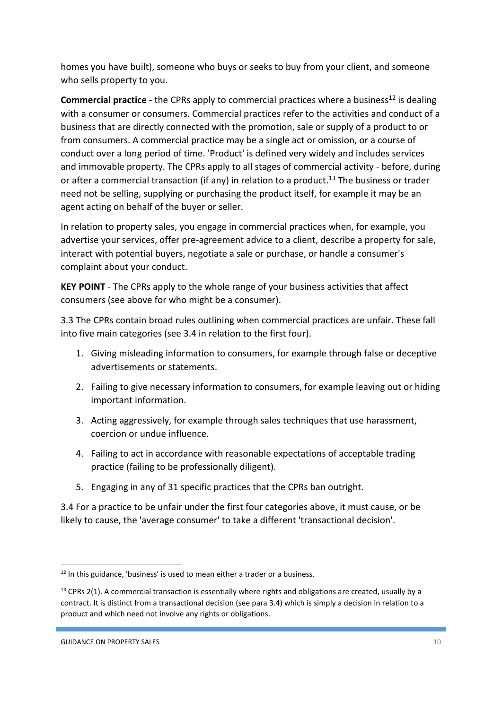homes you have built), someone who buys or seeks to buy from your client, and someone who sells property to you.

**Commercial practice -** the CPRs apply to commercial practices where a business<sup>12</sup> is dealing with a consumer or consumers. Commercial practices refer to the activities and conduct of a business that are directly connected with the promotion, sale or supply of a product to or from consumers. A commercial practice may be a single act or omission, or a course of conduct over a long period of time. 'Product' is defined very widely and includes services and immovable property. The CPRs apply to all stages of commercial activity - before, during or after a commercial transaction (if any) in relation to a product.<sup>13</sup> The business or trader need not be selling, supplying or purchasing the product itself, for example it may be an agent acting on behalf of the buyer or seller.

In relation to property sales, you engage in commercial practices when, for example, you advertise your services, offer pre-agreement advice to a client, describe a property for sale, interact with potential buyers, negotiate a sale or purchase, or handle a consumer's complaint about your conduct.

**KEY POINT** - The CPRs apply to the whole range of your business activities that affect consumers (see above for who might be a consumer).

3.3 The CPRs contain broad rules outlining when commercial practices are unfair. These fall into five main categories (see 3.4 in relation to the first four).

- 1. Giving misleading information to consumers, for example through false or deceptive advertisements or statements.
- 2. Failing to give necessary information to consumers, for example leaving out or hiding important information.
- 3. Acting aggressively, for example through sales techniques that use harassment, coercion or undue influence.
- 4. Failing to act in accordance with reasonable expectations of acceptable trading practice (failing to be professionally diligent).
- 5. Engaging in any of 31 specific practices that the CPRs ban outright.

3.4 For a practice to be unfair under the first four categories above, it must cause, or be likely to cause, the 'average consumer' to take a different 'transactional decision'.

1

<sup>&</sup>lt;sup>12</sup> In this guidance, 'business' is used to mean either a trader or a business.

 $13$  CPRs 2(1). A commercial transaction is essentially where rights and obligations are created, usually by a contract. It is distinct from a transactional decision (see para 3.4) which is simply a decision in relation to a product and which need not involve any rights or obligations.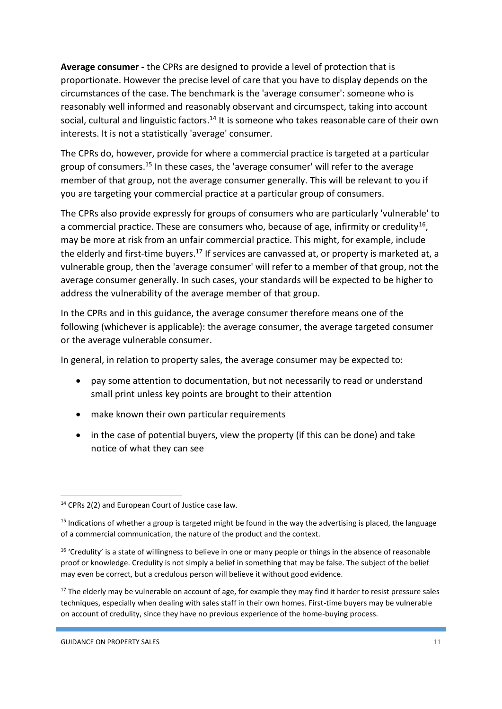**Average consumer -** the CPRs are designed to provide a level of protection that is proportionate. However the precise level of care that you have to display depends on the circumstances of the case. The benchmark is the 'average consumer': someone who is reasonably well informed and reasonably observant and circumspect, taking into account social, cultural and linguistic factors.<sup>14</sup> It is someone who takes reasonable care of their own interests. It is not a statistically 'average' consumer.

The CPRs do, however, provide for where a commercial practice is targeted at a particular group of consumers.<sup>15</sup> In these cases, the 'average consumer' will refer to the average member of that group, not the average consumer generally. This will be relevant to you if you are targeting your commercial practice at a particular group of consumers.

The CPRs also provide expressly for groups of consumers who are particularly 'vulnerable' to a commercial practice. These are consumers who, because of age, infirmity or credulity<sup>16</sup>, may be more at risk from an unfair commercial practice. This might, for example, include the elderly and first-time buyers.<sup>17</sup> If services are canvassed at, or property is marketed at, a vulnerable group, then the 'average consumer' will refer to a member of that group, not the average consumer generally. In such cases, your standards will be expected to be higher to address the vulnerability of the average member of that group.

In the CPRs and in this guidance, the average consumer therefore means one of the following (whichever is applicable): the average consumer, the average targeted consumer or the average vulnerable consumer.

In general, in relation to property sales, the average consumer may be expected to:

- pay some attention to documentation, but not necessarily to read or understand small print unless key points are brought to their attention
- make known their own particular requirements
- in the case of potential buyers, view the property (if this can be done) and take notice of what they can see

<sup>1</sup> <sup>14</sup> CPRs 2(2) and European Court of Justice case law.

 $15$  Indications of whether a group is targeted might be found in the way the advertising is placed, the language of a commercial communication, the nature of the product and the context.

<sup>&</sup>lt;sup>16</sup> 'Credulity' is a state of willingness to believe in one or many people or things in the absence of reasonable proof or knowledge. Credulity is not simply a belief in something that may be false. The subject of the belief may even be correct, but a credulous person will believe it without good evidence.

 $17$  The elderly may be vulnerable on account of age, for example they may find it harder to resist pressure sales techniques, especially when dealing with sales staff in their own homes. First-time buyers may be vulnerable on account of credulity, since they have no previous experience of the home-buying process.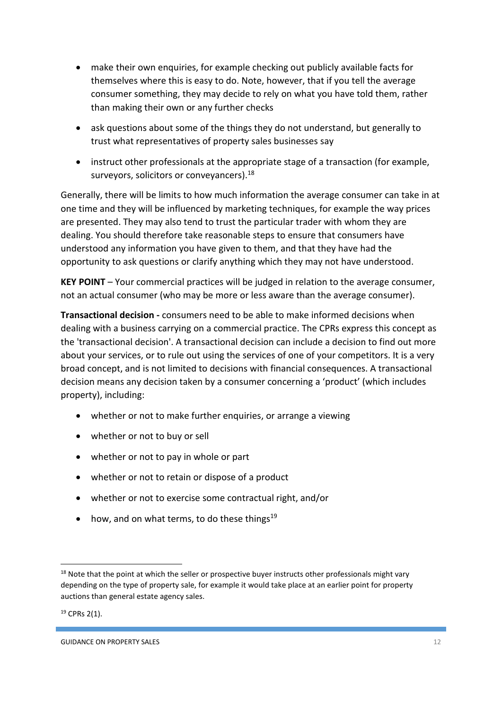- make their own enquiries, for example checking out publicly available facts for themselves where this is easy to do. Note, however, that if you tell the average consumer something, they may decide to rely on what you have told them, rather than making their own or any further checks
- ask questions about some of the things they do not understand, but generally to trust what representatives of property sales businesses say
- instruct other professionals at the appropriate stage of a transaction (for example, surveyors, solicitors or conveyancers).<sup>18</sup>

Generally, there will be limits to how much information the average consumer can take in at one time and they will be influenced by marketing techniques, for example the way prices are presented. They may also tend to trust the particular trader with whom they are dealing. You should therefore take reasonable steps to ensure that consumers have understood any information you have given to them, and that they have had the opportunity to ask questions or clarify anything which they may not have understood.

**KEY POINT** – Your commercial practices will be judged in relation to the average consumer, not an actual consumer (who may be more or less aware than the average consumer).

**Transactional decision -** consumers need to be able to make informed decisions when dealing with a business carrying on a commercial practice. The CPRs express this concept as the 'transactional decision'. A transactional decision can include a decision to find out more about your services, or to rule out using the services of one of your competitors. It is a very broad concept, and is not limited to decisions with financial consequences. A transactional decision means any decision taken by a consumer concerning a 'product' (which includes property), including:

- whether or not to make further enquiries, or arrange a viewing
- whether or not to buy or sell
- whether or not to pay in whole or part
- whether or not to retain or dispose of a product
- whether or not to exercise some contractual right, and/or
- how, and on what terms, to do these things<sup>19</sup>

 $19$  CPRs 2(1).

1

<sup>&</sup>lt;sup>18</sup> Note that the point at which the seller or prospective buyer instructs other professionals might vary depending on the type of property sale, for example it would take place at an earlier point for property auctions than general estate agency sales.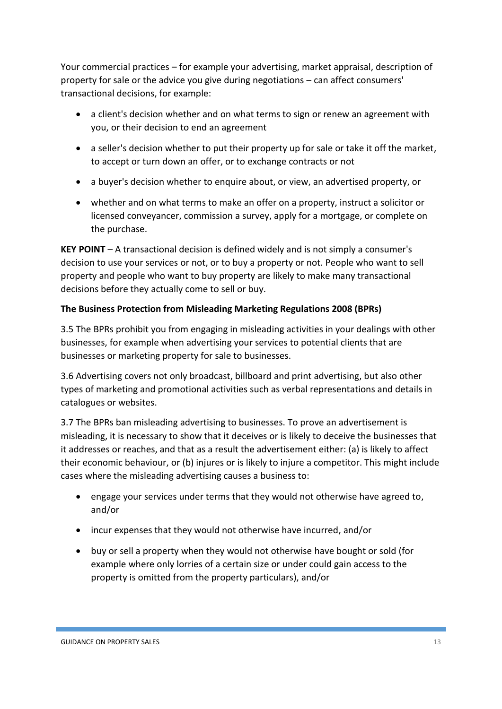Your commercial practices – for example your advertising, market appraisal, description of property for sale or the advice you give during negotiations – can affect consumers' transactional decisions, for example:

- a client's decision whether and on what terms to sign or renew an agreement with you, or their decision to end an agreement
- a seller's decision whether to put their property up for sale or take it off the market, to accept or turn down an offer, or to exchange contracts or not
- a buyer's decision whether to enquire about, or view, an advertised property, or
- whether and on what terms to make an offer on a property, instruct a solicitor or licensed conveyancer, commission a survey, apply for a mortgage, or complete on the purchase.

**KEY POINT** – A transactional decision is defined widely and is not simply a consumer's decision to use your services or not, or to buy a property or not. People who want to sell property and people who want to buy property are likely to make many transactional decisions before they actually come to sell or buy.

# **The Business Protection from Misleading Marketing Regulations 2008 (BPRs)**

3.5 The BPRs prohibit you from engaging in misleading activities in your dealings with other businesses, for example when advertising your services to potential clients that are businesses or marketing property for sale to businesses.

3.6 Advertising covers not only broadcast, billboard and print advertising, but also other types of marketing and promotional activities such as verbal representations and details in catalogues or websites.

3.7 The BPRs ban misleading advertising to businesses. To prove an advertisement is misleading, it is necessary to show that it deceives or is likely to deceive the businesses that it addresses or reaches, and that as a result the advertisement either: (a) is likely to affect their economic behaviour, or (b) injures or is likely to injure a competitor. This might include cases where the misleading advertising causes a business to:

- engage your services under terms that they would not otherwise have agreed to, and/or
- incur expenses that they would not otherwise have incurred, and/or
- buy or sell a property when they would not otherwise have bought or sold (for example where only lorries of a certain size or under could gain access to the property is omitted from the property particulars), and/or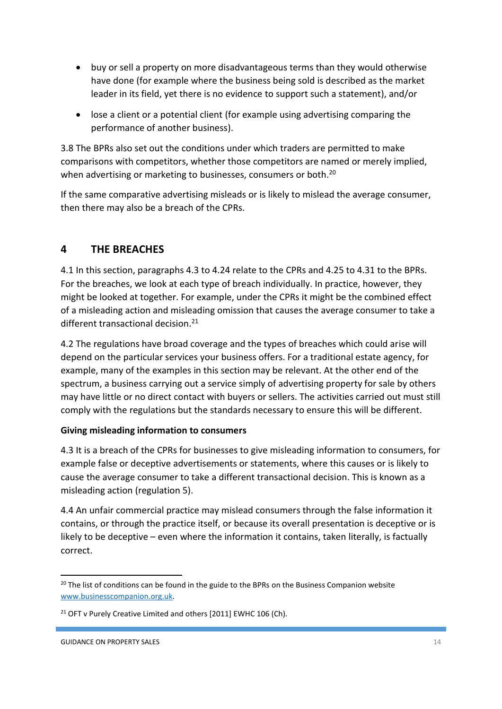- buy or sell a property on more disadvantageous terms than they would otherwise have done (for example where the business being sold is described as the market leader in its field, yet there is no evidence to support such a statement), and/or
- lose a client or a potential client (for example using advertising comparing the performance of another business).

3.8 The BPRs also set out the conditions under which traders are permitted to make comparisons with competitors, whether those competitors are named or merely implied, when advertising or marketing to businesses, consumers or both.<sup>20</sup>

If the same comparative advertising misleads or is likely to mislead the average consumer, then there may also be a breach of the CPRs.

# **4 THE BREACHES**

4.1 In this section, paragraphs 4.3 to 4.24 relate to the CPRs and 4.25 to 4.31 to the BPRs. For the breaches, we look at each type of breach individually. In practice, however, they might be looked at together. For example, under the CPRs it might be the combined effect of a misleading action and misleading omission that causes the average consumer to take a different transactional decision.<sup>21</sup>

4.2 The regulations have broad coverage and the types of breaches which could arise will depend on the particular services your business offers. For a traditional estate agency, for example, many of the examples in this section may be relevant. At the other end of the spectrum, a business carrying out a service simply of advertising property for sale by others may have little or no direct contact with buyers or sellers. The activities carried out must still comply with the regulations but the standards necessary to ensure this will be different.

# **Giving misleading information to consumers**

4.3 It is a breach of the CPRs for businesses to give misleading information to consumers, for example false or deceptive advertisements or statements, where this causes or is likely to cause the average consumer to take a different transactional decision. This is known as a misleading action (regulation 5).

4.4 An unfair commercial practice may mislead consumers through the false information it contains, or through the practice itself, or because its overall presentation is deceptive or is likely to be deceptive – even where the information it contains, taken literally, is factually correct.

**<sup>.</sup>** <sup>20</sup> The list of conditions can be found in the guide to the BPRs on the Business Companion website [www.businesscompanion.org.uk.](http://www.businesscompanion.org.uk/)

<sup>&</sup>lt;sup>21</sup> OFT v Purely Creative Limited and others [2011] EWHC 106 (Ch).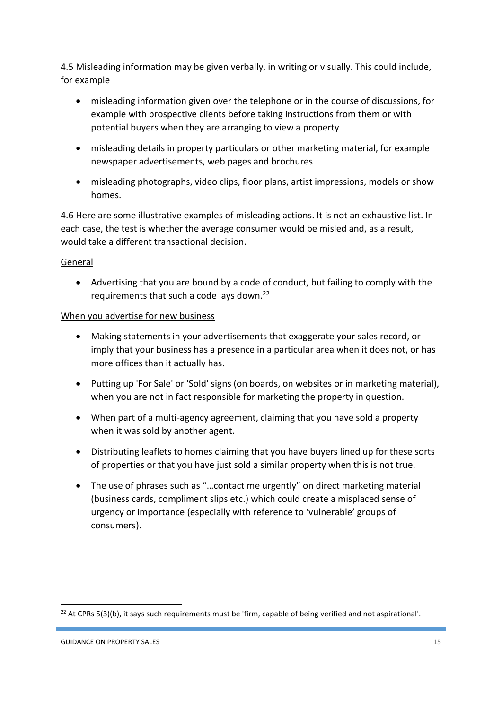4.5 Misleading information may be given verbally, in writing or visually. This could include, for example

- misleading information given over the telephone or in the course of discussions, for example with prospective clients before taking instructions from them or with potential buyers when they are arranging to view a property
- misleading details in property particulars or other marketing material, for example newspaper advertisements, web pages and brochures
- misleading photographs, video clips, floor plans, artist impressions, models or show homes.

4.6 Here are some illustrative examples of misleading actions. It is not an exhaustive list. In each case, the test is whether the average consumer would be misled and, as a result, would take a different transactional decision.

# General

 Advertising that you are bound by a code of conduct, but failing to comply with the requirements that such a code lays down.<sup>22</sup>

# When you advertise for new business

- Making statements in your advertisements that exaggerate your sales record, or imply that your business has a presence in a particular area when it does not, or has more offices than it actually has.
- Putting up 'For Sale' or 'Sold' signs (on boards, on websites or in marketing material), when you are not in fact responsible for marketing the property in question.
- When part of a multi-agency agreement, claiming that you have sold a property when it was sold by another agent.
- Distributing leaflets to homes claiming that you have buyers lined up for these sorts of properties or that you have just sold a similar property when this is not true.
- The use of phrases such as "…contact me urgently" on direct marketing material (business cards, compliment slips etc.) which could create a misplaced sense of urgency or importance (especially with reference to 'vulnerable' groups of consumers).

<sup>&</sup>lt;sup>22</sup> At CPRs 5(3)(b), it says such requirements must be 'firm, capable of being verified and not aspirational'.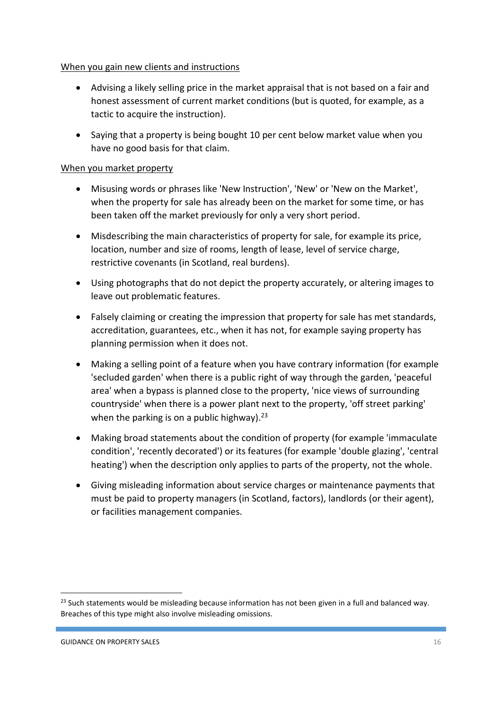# When you gain new clients and instructions

- Advising a likely selling price in the market appraisal that is not based on a fair and honest assessment of current market conditions (but is quoted, for example, as a tactic to acquire the instruction).
- Saying that a property is being bought 10 per cent below market value when you have no good basis for that claim.

# When you market property

- Misusing words or phrases like 'New Instruction', 'New' or 'New on the Market', when the property for sale has already been on the market for some time, or has been taken off the market previously for only a very short period.
- Misdescribing the main characteristics of property for sale, for example its price, location, number and size of rooms, length of lease, level of service charge, restrictive covenants (in Scotland, real burdens).
- Using photographs that do not depict the property accurately, or altering images to leave out problematic features.
- Falsely claiming or creating the impression that property for sale has met standards, accreditation, guarantees, etc., when it has not, for example saying property has planning permission when it does not.
- Making a selling point of a feature when you have contrary information (for example 'secluded garden' when there is a public right of way through the garden, 'peaceful area' when a bypass is planned close to the property, 'nice views of surrounding countryside' when there is a power plant next to the property, 'off street parking' when the parking is on a public highway).  $23$
- Making broad statements about the condition of property (for example 'immaculate condition', 'recently decorated') or its features (for example 'double glazing', 'central heating') when the description only applies to parts of the property, not the whole.
- Giving misleading information about service charges or maintenance payments that must be paid to property managers (in Scotland, factors), landlords (or their agent), or facilities management companies.

<sup>&</sup>lt;sup>23</sup> Such statements would be misleading because information has not been given in a full and balanced way. Breaches of this type might also involve misleading omissions.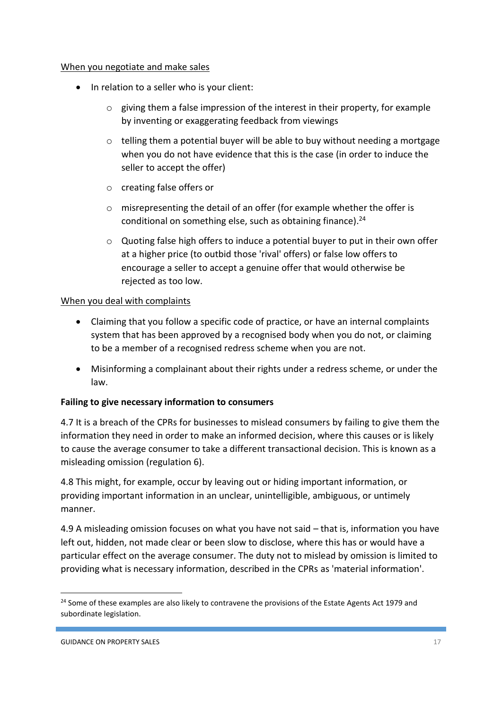### When you negotiate and make sales

- In relation to a seller who is your client:
	- o giving them a false impression of the interest in their property, for example by inventing or exaggerating feedback from viewings
	- $\circ$  telling them a potential buyer will be able to buy without needing a mortgage when you do not have evidence that this is the case (in order to induce the seller to accept the offer)
	- o creating false offers or
	- o misrepresenting the detail of an offer (for example whether the offer is conditional on something else, such as obtaining finance).<sup>24</sup>
	- $\circ$  Quoting false high offers to induce a potential buyer to put in their own offer at a higher price (to outbid those 'rival' offers) or false low offers to encourage a seller to accept a genuine offer that would otherwise be rejected as too low.

# When you deal with complaints

- Claiming that you follow a specific code of practice, or have an internal complaints system that has been approved by a recognised body when you do not, or claiming to be a member of a recognised redress scheme when you are not.
- Misinforming a complainant about their rights under a redress scheme, or under the law.

# **Failing to give necessary information to consumers**

4.7 It is a breach of the CPRs for businesses to mislead consumers by failing to give them the information they need in order to make an informed decision, where this causes or is likely to cause the average consumer to take a different transactional decision. This is known as a misleading omission (regulation 6).

4.8 This might, for example, occur by leaving out or hiding important information, or providing important information in an unclear, unintelligible, ambiguous, or untimely manner.

4.9 A misleading omission focuses on what you have not said – that is, information you have left out, hidden, not made clear or been slow to disclose, where this has or would have a particular effect on the average consumer. The duty not to mislead by omission is limited to providing what is necessary information, described in the CPRs as 'material information'.

<sup>&</sup>lt;sup>24</sup> Some of these examples are also likely to contravene the provisions of the Estate Agents Act 1979 and subordinate legislation.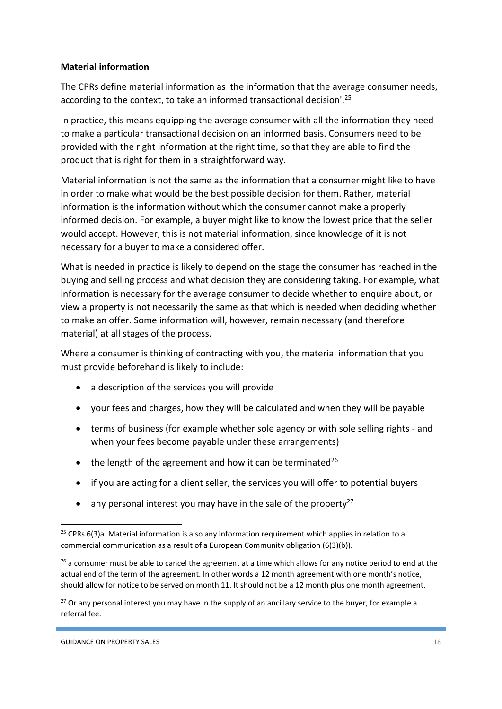# **Material information**

The CPRs define material information as 'the information that the average consumer needs, according to the context, to take an informed transactional decision'.<sup>25</sup>

In practice, this means equipping the average consumer with all the information they need to make a particular transactional decision on an informed basis. Consumers need to be provided with the right information at the right time, so that they are able to find the product that is right for them in a straightforward way.

Material information is not the same as the information that a consumer might like to have in order to make what would be the best possible decision for them. Rather, material information is the information without which the consumer cannot make a properly informed decision. For example, a buyer might like to know the lowest price that the seller would accept. However, this is not material information, since knowledge of it is not necessary for a buyer to make a considered offer.

What is needed in practice is likely to depend on the stage the consumer has reached in the buying and selling process and what decision they are considering taking. For example, what information is necessary for the average consumer to decide whether to enquire about, or view a property is not necessarily the same as that which is needed when deciding whether to make an offer. Some information will, however, remain necessary (and therefore material) at all stages of the process.

Where a consumer is thinking of contracting with you, the material information that you must provide beforehand is likely to include:

- a description of the services you will provide
- your fees and charges, how they will be calculated and when they will be payable
- terms of business (for example whether sole agency or with sole selling rights and when your fees become payable under these arrangements)
- $\bullet$  the length of the agreement and how it can be terminated<sup>26</sup>
- if you are acting for a client seller, the services you will offer to potential buyers
- any personal interest you may have in the sale of the property<sup>27</sup>

1

 $25$  CPRs 6(3)a. Material information is also any information requirement which applies in relation to a commercial communication as a result of a European Community obligation (6(3)(b)).

<sup>&</sup>lt;sup>26</sup> a consumer must be able to cancel the agreement at a time which allows for any notice period to end at the actual end of the term of the agreement. In other words a 12 month agreement with one month's notice, should allow for notice to be served on month 11. It should not be a 12 month plus one month agreement.

<sup>&</sup>lt;sup>27</sup> Or any personal interest you may have in the supply of an ancillary service to the buyer, for example a referral fee.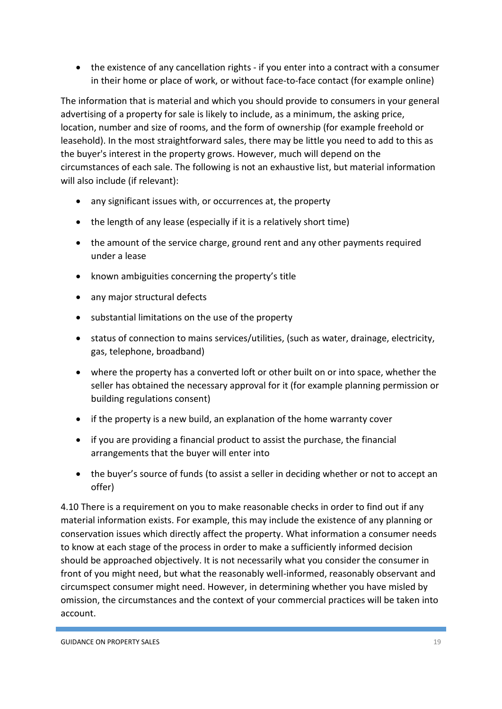the existence of any cancellation rights - if you enter into a contract with a consumer in their home or place of work, or without face-to-face contact (for example online)

The information that is material and which you should provide to consumers in your general advertising of a property for sale is likely to include, as a minimum, the asking price, location, number and size of rooms, and the form of ownership (for example freehold or leasehold). In the most straightforward sales, there may be little you need to add to this as the buyer's interest in the property grows. However, much will depend on the circumstances of each sale. The following is not an exhaustive list, but material information will also include (if relevant):

- any significant issues with, or occurrences at, the property
- the length of any lease (especially if it is a relatively short time)
- the amount of the service charge, ground rent and any other payments required under a lease
- known ambiguities concerning the property's title
- any major structural defects
- substantial limitations on the use of the property
- status of connection to mains services/utilities, (such as water, drainage, electricity, gas, telephone, broadband)
- where the property has a converted loft or other built on or into space, whether the seller has obtained the necessary approval for it (for example planning permission or building regulations consent)
- if the property is a new build, an explanation of the home warranty cover
- if you are providing a financial product to assist the purchase, the financial arrangements that the buyer will enter into
- the buyer's source of funds (to assist a seller in deciding whether or not to accept an offer)

4.10 There is a requirement on you to make reasonable checks in order to find out if any material information exists. For example, this may include the existence of any planning or conservation issues which directly affect the property. What information a consumer needs to know at each stage of the process in order to make a sufficiently informed decision should be approached objectively. It is not necessarily what you consider the consumer in front of you might need, but what the reasonably well-informed, reasonably observant and circumspect consumer might need. However, in determining whether you have misled by omission, the circumstances and the context of your commercial practices will be taken into account.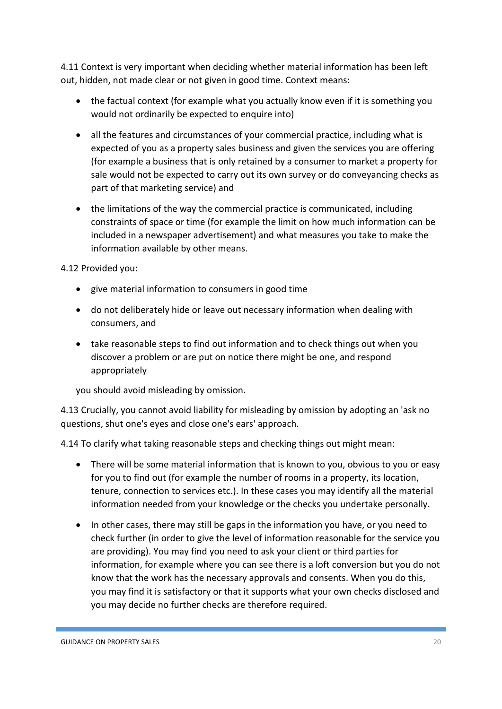4.11 Context is very important when deciding whether material information has been left out, hidden, not made clear or not given in good time. Context means:

- the factual context (for example what you actually know even if it is something you would not ordinarily be expected to enquire into)
- all the features and circumstances of your commercial practice, including what is expected of you as a property sales business and given the services you are offering (for example a business that is only retained by a consumer to market a property for sale would not be expected to carry out its own survey or do conveyancing checks as part of that marketing service) and
- the limitations of the way the commercial practice is communicated, including constraints of space or time (for example the limit on how much information can be included in a newspaper advertisement) and what measures you take to make the information available by other means.

4.12 Provided you:

- give material information to consumers in good time
- do not deliberately hide or leave out necessary information when dealing with consumers, and
- take reasonable steps to find out information and to check things out when you discover a problem or are put on notice there might be one, and respond appropriately

you should avoid misleading by omission.

4.13 Crucially, you cannot avoid liability for misleading by omission by adopting an 'ask no questions, shut one's eyes and close one's ears' approach.

4.14 To clarify what taking reasonable steps and checking things out might mean:

- There will be some material information that is known to you, obvious to you or easy for you to find out (for example the number of rooms in a property, its location, tenure, connection to services etc.). In these cases you may identify all the material information needed from your knowledge or the checks you undertake personally.
- In other cases, there may still be gaps in the information you have, or you need to check further (in order to give the level of information reasonable for the service you are providing). You may find you need to ask your client or third parties for information, for example where you can see there is a loft conversion but you do not know that the work has the necessary approvals and consents. When you do this, you may find it is satisfactory or that it supports what your own checks disclosed and you may decide no further checks are therefore required.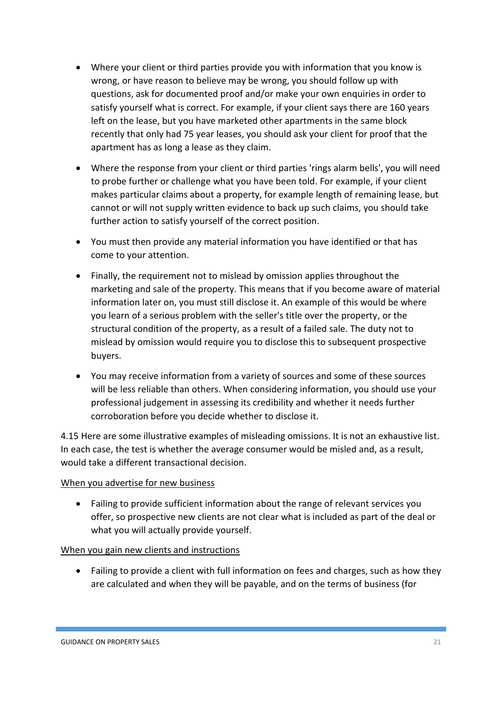- Where your client or third parties provide you with information that you know is wrong, or have reason to believe may be wrong, you should follow up with questions, ask for documented proof and/or make your own enquiries in order to satisfy yourself what is correct. For example, if your client says there are 160 years left on the lease, but you have marketed other apartments in the same block recently that only had 75 year leases, you should ask your client for proof that the apartment has as long a lease as they claim.
- Where the response from your client or third parties 'rings alarm bells', you will need to probe further or challenge what you have been told. For example, if your client makes particular claims about a property, for example length of remaining lease, but cannot or will not supply written evidence to back up such claims, you should take further action to satisfy yourself of the correct position.
- You must then provide any material information you have identified or that has come to your attention.
- Finally, the requirement not to mislead by omission applies throughout the marketing and sale of the property. This means that if you become aware of material information later on, you must still disclose it. An example of this would be where you learn of a serious problem with the seller's title over the property, or the structural condition of the property, as a result of a failed sale. The duty not to mislead by omission would require you to disclose this to subsequent prospective buyers.
- You may receive information from a variety of sources and some of these sources will be less reliable than others. When considering information, you should use your professional judgement in assessing its credibility and whether it needs further corroboration before you decide whether to disclose it.

4.15 Here are some illustrative examples of misleading omissions. It is not an exhaustive list. In each case, the test is whether the average consumer would be misled and, as a result, would take a different transactional decision.

# When you advertise for new business

 Failing to provide sufficient information about the range of relevant services you offer, so prospective new clients are not clear what is included as part of the deal or what you will actually provide yourself.

# When you gain new clients and instructions

• Failing to provide a client with full information on fees and charges, such as how they are calculated and when they will be payable, and on the terms of business (for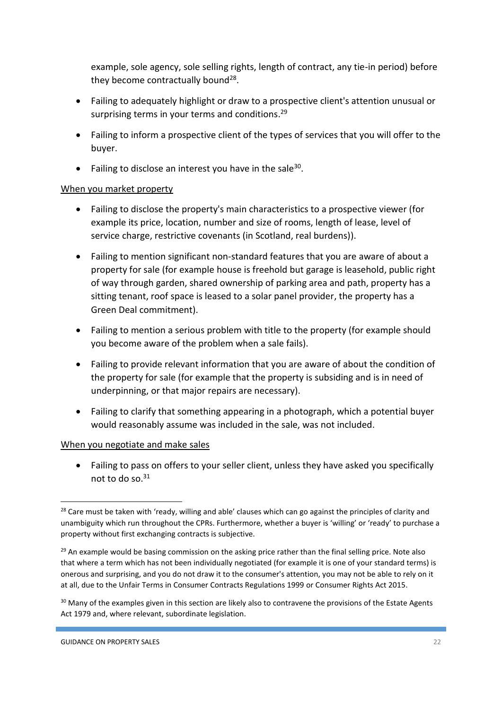example, sole agency, sole selling rights, length of contract, any tie-in period) before they become contractually bound<sup>28</sup>.

- Failing to adequately highlight or draw to a prospective client's attention unusual or surprising terms in your terms and conditions.<sup>29</sup>
- Failing to inform a prospective client of the types of services that you will offer to the buyer.
- Failing to disclose an interest you have in the sale<sup>30</sup>.

# When you market property

- Failing to disclose the property's main characteristics to a prospective viewer (for example its price, location, number and size of rooms, length of lease, level of service charge, restrictive covenants (in Scotland, real burdens)).
- Failing to mention significant non-standard features that you are aware of about a property for sale (for example house is freehold but garage is leasehold, public right of way through garden, shared ownership of parking area and path, property has a sitting tenant, roof space is leased to a solar panel provider, the property has a Green Deal commitment).
- Failing to mention a serious problem with title to the property (for example should you become aware of the problem when a sale fails).
- Failing to provide relevant information that you are aware of about the condition of the property for sale (for example that the property is subsiding and is in need of underpinning, or that major repairs are necessary).
- Failing to clarify that something appearing in a photograph, which a potential buyer would reasonably assume was included in the sale, was not included.

### When you negotiate and make sales

 Failing to pass on offers to your seller client, unless they have asked you specifically not to do so. $31$ 

**<sup>.</sup>** <sup>28</sup> Care must be taken with 'ready, willing and able' clauses which can go against the principles of clarity and unambiguity which run throughout the CPRs. Furthermore, whether a buyer is 'willing' or 'ready' to purchase a property without first exchanging contracts is subjective.

<sup>&</sup>lt;sup>29</sup> An example would be basing commission on the asking price rather than the final selling price. Note also that where a term which has not been individually negotiated (for example it is one of your standard terms) is onerous and surprising, and you do not draw it to the consumer's attention, you may not be able to rely on it at all, due to the Unfair Terms in Consumer Contracts Regulations 1999 or Consumer Rights Act 2015.

<sup>&</sup>lt;sup>30</sup> Many of the examples given in this section are likely also to contravene the provisions of the Estate Agents Act 1979 and, where relevant, subordinate legislation.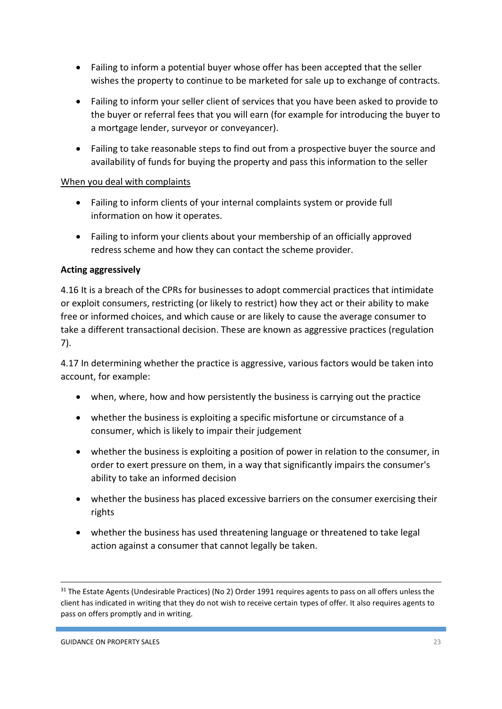- Failing to inform a potential buyer whose offer has been accepted that the seller wishes the property to continue to be marketed for sale up to exchange of contracts.
- Failing to inform your seller client of services that you have been asked to provide to the buyer or referral fees that you will earn (for example for introducing the buyer to a mortgage lender, surveyor or conveyancer).
- Failing to take reasonable steps to find out from a prospective buyer the source and availability of funds for buying the property and pass this information to the seller

# When you deal with complaints

- Failing to inform clients of your internal complaints system or provide full information on how it operates.
- Failing to inform your clients about your membership of an officially approved redress scheme and how they can contact the scheme provider.

# **Acting aggressively**

4.16 It is a breach of the CPRs for businesses to adopt commercial practices that intimidate or exploit consumers, restricting (or likely to restrict) how they act or their ability to make free or informed choices, and which cause or are likely to cause the average consumer to take a different transactional decision. These are known as aggressive practices (regulation 7).

4.17 In determining whether the practice is aggressive, various factors would be taken into account, for example:

- when, where, how and how persistently the business is carrying out the practice
- whether the business is exploiting a specific misfortune or circumstance of a consumer, which is likely to impair their judgement
- whether the business is exploiting a position of power in relation to the consumer, in order to exert pressure on them, in a way that significantly impairs the consumer's ability to take an informed decision
- whether the business has placed excessive barriers on the consumer exercising their rights
- whether the business has used threatening language or threatened to take legal action against a consumer that cannot legally be taken.

 $\overline{a}$ 

<sup>&</sup>lt;sup>31</sup> The Estate Agents (Undesirable Practices) (No 2) Order 1991 requires agents to pass on all offers unless the client has indicated in writing that they do not wish to receive certain types of offer. It also requires agents to pass on offers promptly and in writing.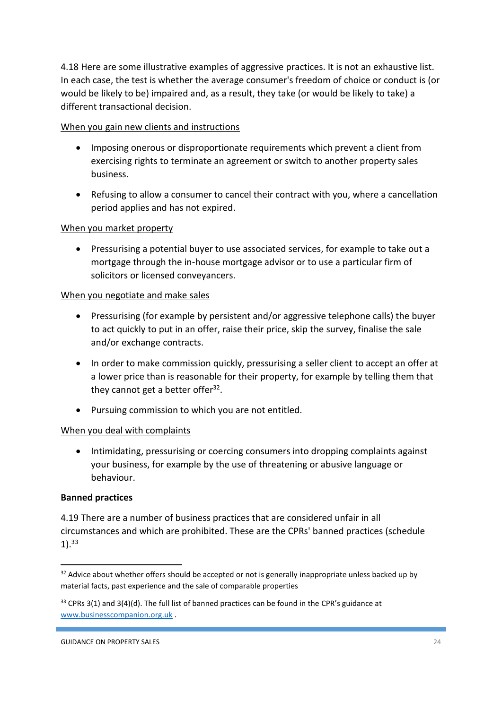4.18 Here are some illustrative examples of aggressive practices. It is not an exhaustive list. In each case, the test is whether the average consumer's freedom of choice or conduct is (or would be likely to be) impaired and, as a result, they take (or would be likely to take) a different transactional decision.

# When you gain new clients and instructions

- Imposing onerous or disproportionate requirements which prevent a client from exercising rights to terminate an agreement or switch to another property sales business.
- Refusing to allow a consumer to cancel their contract with you, where a cancellation period applies and has not expired.

# When you market property

 Pressurising a potential buyer to use associated services, for example to take out a mortgage through the in-house mortgage advisor or to use a particular firm of solicitors or licensed conveyancers.

### When you negotiate and make sales

- Pressurising (for example by persistent and/or aggressive telephone calls) the buyer to act quickly to put in an offer, raise their price, skip the survey, finalise the sale and/or exchange contracts.
- In order to make commission quickly, pressurising a seller client to accept an offer at a lower price than is reasonable for their property, for example by telling them that they cannot get a better offer<sup>32</sup>.
- Pursuing commission to which you are not entitled.

### When you deal with complaints

• Intimidating, pressurising or coercing consumers into dropping complaints against your business, for example by the use of threatening or abusive language or behaviour.

### **Banned practices**

1

4.19 There are a number of business practices that are considered unfair in all circumstances and which are prohibited. These are the CPRs' banned practices (schedule  $1$ ).  $33$ 

<sup>&</sup>lt;sup>32</sup> Advice about whether offers should be accepted or not is generally inappropriate unless backed up by material facts, past experience and the sale of comparable properties

 $33$  CPRs 3(1) and 3(4)(d). The full list of banned practices can be found in the CPR's guidance at [www.businesscompanion.org.uk](http://www.businesscompanion.org.uk/) .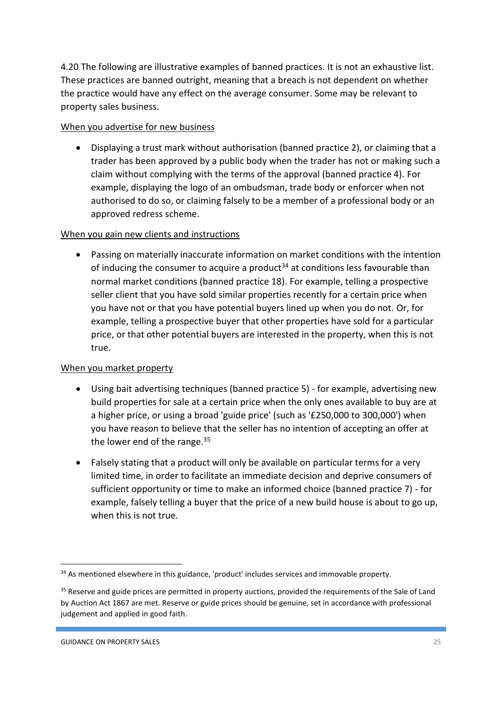4.20 The following are illustrative examples of banned practices. It is not an exhaustive list. These practices are banned outright, meaning that a breach is not dependent on whether the practice would have any effect on the average consumer. Some may be relevant to property sales business.

# When you advertise for new business

 Displaying a trust mark without authorisation (banned practice 2), or claiming that a trader has been approved by a public body when the trader has not or making such a claim without complying with the terms of the approval (banned practice 4). For example, displaying the logo of an ombudsman, trade body or enforcer when not authorised to do so, or claiming falsely to be a member of a professional body or an approved redress scheme.

# When you gain new clients and instructions

 Passing on materially inaccurate information on market conditions with the intention of inducing the consumer to acquire a product<sup>34</sup> at conditions less favourable than normal market conditions (banned practice 18). For example, telling a prospective seller client that you have sold similar properties recently for a certain price when you have not or that you have potential buyers lined up when you do not. Or, for example, telling a prospective buyer that other properties have sold for a particular price, or that other potential buyers are interested in the property, when this is not true.

# When you market property

- Using bait advertising techniques (banned practice 5) for example, advertising new build properties for sale at a certain price when the only ones available to buy are at a higher price, or using a broad 'guide price' (such as '£250,000 to 300,000') when you have reason to believe that the seller has no intention of accepting an offer at the lower end of the range. $35$
- Falsely stating that a product will only be available on particular terms for a very limited time, in order to facilitate an immediate decision and deprive consumers of sufficient opportunity or time to make an informed choice (banned practice 7) - for example, falsely telling a buyer that the price of a new build house is about to go up, when this is not true.

<sup>1</sup> <sup>34</sup> As mentioned elsewhere in this guidance, 'product' includes services and immovable property.

<sup>&</sup>lt;sup>35</sup> Reserve and guide prices are permitted in property auctions, provided the requirements of the Sale of Land by Auction Act 1867 are met. Reserve or guide prices should be genuine, set in accordance with professional judgement and applied in good faith.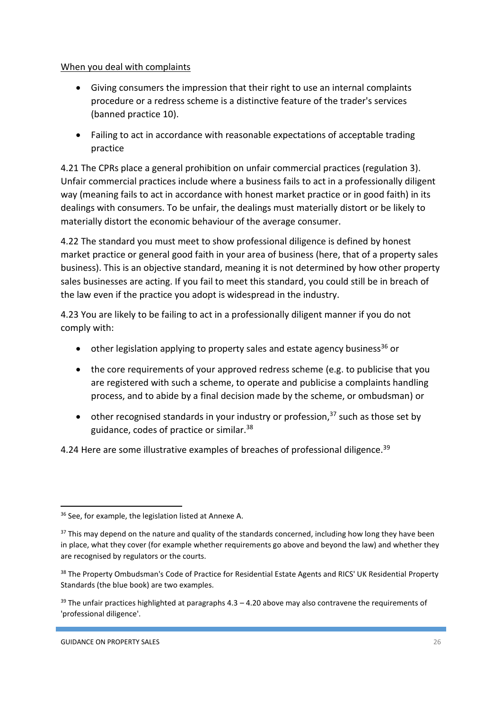# When you deal with complaints

- Giving consumers the impression that their right to use an internal complaints procedure or a redress scheme is a distinctive feature of the trader's services (banned practice 10).
- Failing to act in accordance with reasonable expectations of acceptable trading practice

4.21 The CPRs place a general prohibition on unfair commercial practices (regulation 3). Unfair commercial practices include where a business fails to act in a professionally diligent way (meaning fails to act in accordance with honest market practice or in good faith) in its dealings with consumers. To be unfair, the dealings must materially distort or be likely to materially distort the economic behaviour of the average consumer.

4.22 The standard you must meet to show professional diligence is defined by honest market practice or general good faith in your area of business (here, that of a property sales business). This is an objective standard, meaning it is not determined by how other property sales businesses are acting. If you fail to meet this standard, you could still be in breach of the law even if the practice you adopt is widespread in the industry.

4.23 You are likely to be failing to act in a professionally diligent manner if you do not comply with:

- $\bullet$  other legislation applying to property sales and estate agency business<sup>36</sup> or
- the core requirements of your approved redress scheme (e.g. to publicise that you are registered with such a scheme, to operate and publicise a complaints handling process, and to abide by a final decision made by the scheme, or ombudsman) or
- other recognised standards in your industry or profession, $37$  such as those set by guidance, codes of practice or similar.<sup>38</sup>

4.24 Here are some illustrative examples of breaches of professional diligence.<sup>39</sup>

<sup>&</sup>lt;sup>36</sup> See, for example, the legislation listed at Annexe A.

 $37$  This may depend on the nature and quality of the standards concerned, including how long they have been in place, what they cover (for example whether requirements go above and beyond the law) and whether they are recognised by regulators or the courts.

<sup>&</sup>lt;sup>38</sup> The Property Ombudsman's Code of Practice for Residential Estate Agents and RICS' UK Residential Property Standards (the blue book) are two examples.

 $39$  The unfair practices highlighted at paragraphs 4.3 – 4.20 above may also contravene the requirements of 'professional diligence'.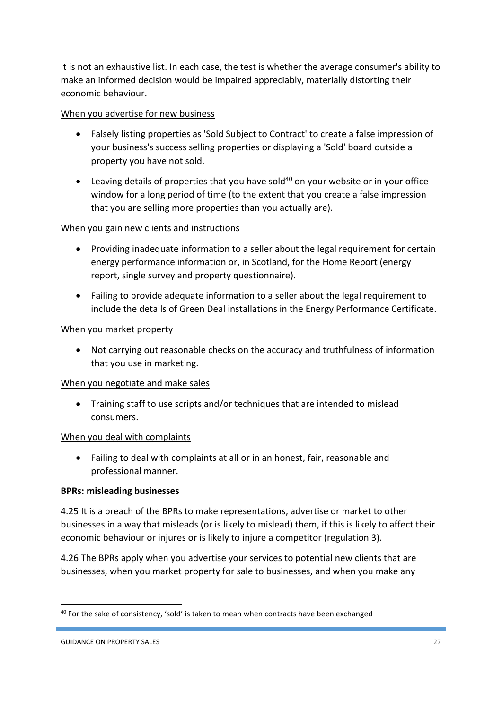It is not an exhaustive list. In each case, the test is whether the average consumer's ability to make an informed decision would be impaired appreciably, materially distorting their economic behaviour.

# When you advertise for new business

- Falsely listing properties as 'Sold Subject to Contract' to create a false impression of your business's success selling properties or displaying a 'Sold' board outside a property you have not sold.
- **•** Leaving details of properties that you have sold<sup>40</sup> on your website or in your office window for a long period of time (to the extent that you create a false impression that you are selling more properties than you actually are).

# When you gain new clients and instructions

- Providing inadequate information to a seller about the legal requirement for certain energy performance information or, in Scotland, for the Home Report (energy report, single survey and property questionnaire).
- Failing to provide adequate information to a seller about the legal requirement to include the details of Green Deal installations in the Energy Performance Certificate.

# When you market property

 Not carrying out reasonable checks on the accuracy and truthfulness of information that you use in marketing.

### When you negotiate and make sales

 Training staff to use scripts and/or techniques that are intended to mislead consumers.

### When you deal with complaints

 Failing to deal with complaints at all or in an honest, fair, reasonable and professional manner.

### **BPRs: misleading businesses**

4.25 It is a breach of the BPRs to make representations, advertise or market to other businesses in a way that misleads (or is likely to mislead) them, if this is likely to affect their economic behaviour or injures or is likely to injure a competitor (regulation 3).

4.26 The BPRs apply when you advertise your services to potential new clients that are businesses, when you market property for sale to businesses, and when you make any

<sup>40</sup> For the sake of consistency, 'sold' is taken to mean when contracts have been exchanged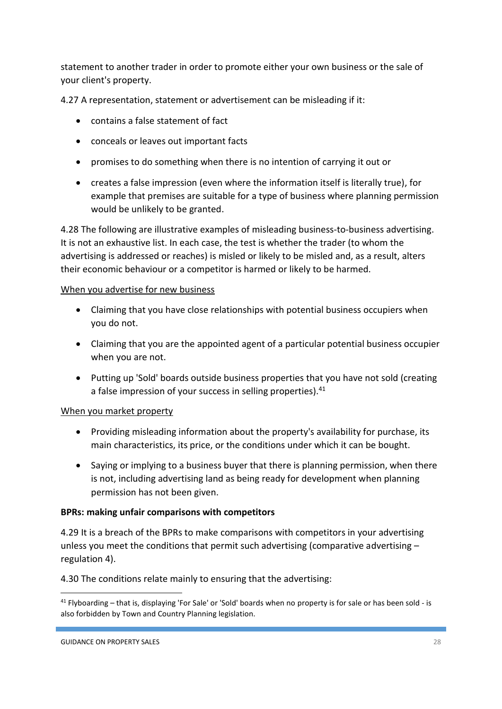statement to another trader in order to promote either your own business or the sale of your client's property.

4.27 A representation, statement or advertisement can be misleading if it:

- contains a false statement of fact
- conceals or leaves out important facts
- promises to do something when there is no intention of carrying it out or
- creates a false impression (even where the information itself is literally true), for example that premises are suitable for a type of business where planning permission would be unlikely to be granted.

4.28 The following are illustrative examples of misleading business-to-business advertising. It is not an exhaustive list. In each case, the test is whether the trader (to whom the advertising is addressed or reaches) is misled or likely to be misled and, as a result, alters their economic behaviour or a competitor is harmed or likely to be harmed.

# When you advertise for new business

- Claiming that you have close relationships with potential business occupiers when you do not.
- Claiming that you are the appointed agent of a particular potential business occupier when you are not.
- Putting up 'Sold' boards outside business properties that you have not sold (creating a false impression of your success in selling properties).<sup>41</sup>

# When you market property

- Providing misleading information about the property's availability for purchase, its main characteristics, its price, or the conditions under which it can be bought.
- Saying or implying to a business buyer that there is planning permission, when there is not, including advertising land as being ready for development when planning permission has not been given.

### **BPRs: making unfair comparisons with competitors**

4.29 It is a breach of the BPRs to make comparisons with competitors in your advertising unless you meet the conditions that permit such advertising (comparative advertising  $$ regulation 4).

4.30 The conditions relate mainly to ensuring that the advertising:

 $41$  Flyboarding – that is, displaying 'For Sale' or 'Sold' boards when no property is for sale or has been sold - is also forbidden by Town and Country Planning legislation.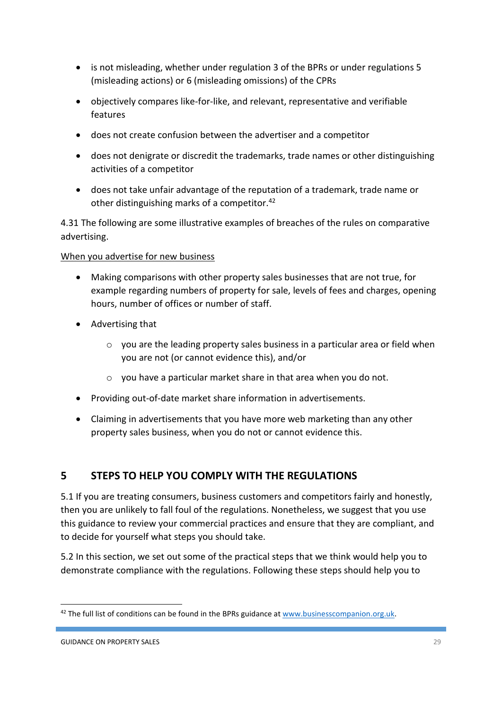- is not misleading, whether under regulation 3 of the BPRs or under regulations 5 (misleading actions) or 6 (misleading omissions) of the CPRs
- objectively compares like-for-like, and relevant, representative and verifiable features
- does not create confusion between the advertiser and a competitor
- does not denigrate or discredit the trademarks, trade names or other distinguishing activities of a competitor
- does not take unfair advantage of the reputation of a trademark, trade name or other distinguishing marks of a competitor.<sup>42</sup>

4.31 The following are some illustrative examples of breaches of the rules on comparative advertising.

# When you advertise for new business

- Making comparisons with other property sales businesses that are not true, for example regarding numbers of property for sale, levels of fees and charges, opening hours, number of offices or number of staff.
- Advertising that
	- o you are the leading property sales business in a particular area or field when you are not (or cannot evidence this), and/or
	- o you have a particular market share in that area when you do not.
- Providing out-of-date market share information in advertisements.
- Claiming in advertisements that you have more web marketing than any other property sales business, when you do not or cannot evidence this.

# **5 STEPS TO HELP YOU COMPLY WITH THE REGULATIONS**

5.1 If you are treating consumers, business customers and competitors fairly and honestly, then you are unlikely to fall foul of the regulations. Nonetheless, we suggest that you use this guidance to review your commercial practices and ensure that they are compliant, and to decide for yourself what steps you should take.

5.2 In this section, we set out some of the practical steps that we think would help you to demonstrate compliance with the regulations. Following these steps should help you to

<sup>&</sup>lt;sup>42</sup> The full list of conditions can be found in the BPRs guidance at [www.businesscompanion.org.uk.](http://www.businesscompanion.org.uk/)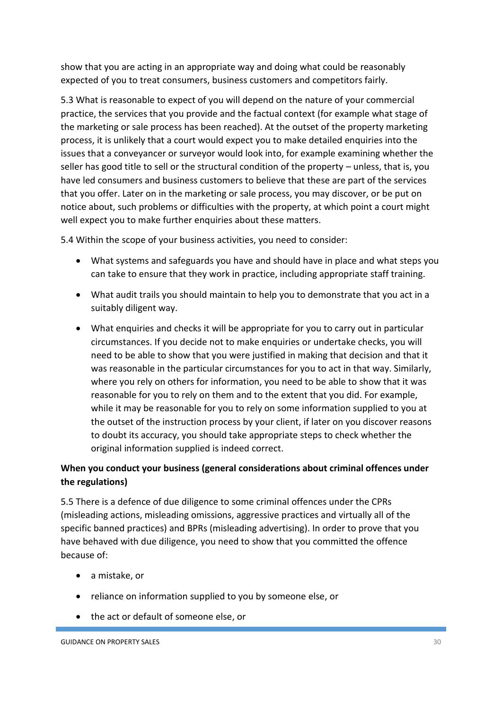show that you are acting in an appropriate way and doing what could be reasonably expected of you to treat consumers, business customers and competitors fairly.

5.3 What is reasonable to expect of you will depend on the nature of your commercial practice, the services that you provide and the factual context (for example what stage of the marketing or sale process has been reached). At the outset of the property marketing process, it is unlikely that a court would expect you to make detailed enquiries into the issues that a conveyancer or surveyor would look into, for example examining whether the seller has good title to sell or the structural condition of the property – unless, that is, you have led consumers and business customers to believe that these are part of the services that you offer. Later on in the marketing or sale process, you may discover, or be put on notice about, such problems or difficulties with the property, at which point a court might well expect you to make further enquiries about these matters.

5.4 Within the scope of your business activities, you need to consider:

- What systems and safeguards you have and should have in place and what steps you can take to ensure that they work in practice, including appropriate staff training.
- What audit trails you should maintain to help you to demonstrate that you act in a suitably diligent way.
- What enquiries and checks it will be appropriate for you to carry out in particular circumstances. If you decide not to make enquiries or undertake checks, you will need to be able to show that you were justified in making that decision and that it was reasonable in the particular circumstances for you to act in that way. Similarly, where you rely on others for information, you need to be able to show that it was reasonable for you to rely on them and to the extent that you did. For example, while it may be reasonable for you to rely on some information supplied to you at the outset of the instruction process by your client, if later on you discover reasons to doubt its accuracy, you should take appropriate steps to check whether the original information supplied is indeed correct.

# **When you conduct your business (general considerations about criminal offences under the regulations)**

5.5 There is a defence of due diligence to some criminal offences under the CPRs (misleading actions, misleading omissions, aggressive practices and virtually all of the specific banned practices) and BPRs (misleading advertising). In order to prove that you have behaved with due diligence, you need to show that you committed the offence because of:

- a mistake, or
- reliance on information supplied to you by someone else, or
- the act or default of someone else, or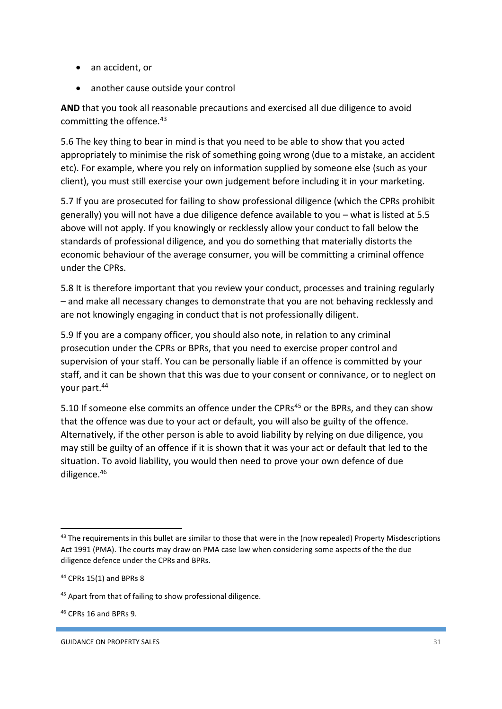- an accident, or
- another cause outside your control

**AND** that you took all reasonable precautions and exercised all due diligence to avoid committing the offence.<sup>43</sup>

5.6 The key thing to bear in mind is that you need to be able to show that you acted appropriately to minimise the risk of something going wrong (due to a mistake, an accident etc). For example, where you rely on information supplied by someone else (such as your client), you must still exercise your own judgement before including it in your marketing.

5.7 If you are prosecuted for failing to show professional diligence (which the CPRs prohibit generally) you will not have a due diligence defence available to you – what is listed at 5.5 above will not apply. If you knowingly or recklessly allow your conduct to fall below the standards of professional diligence, and you do something that materially distorts the economic behaviour of the average consumer, you will be committing a criminal offence under the CPRs.

5.8 It is therefore important that you review your conduct, processes and training regularly – and make all necessary changes to demonstrate that you are not behaving recklessly and are not knowingly engaging in conduct that is not professionally diligent.

5.9 If you are a company officer, you should also note, in relation to any criminal prosecution under the CPRs or BPRs, that you need to exercise proper control and supervision of your staff. You can be personally liable if an offence is committed by your staff, and it can be shown that this was due to your consent or connivance, or to neglect on your part.<sup>44</sup>

5.10 If someone else commits an offence under the CPRs<sup>45</sup> or the BPRs, and they can show that the offence was due to your act or default, you will also be guilty of the offence. Alternatively, if the other person is able to avoid liability by relying on due diligence, you may still be guilty of an offence if it is shown that it was your act or default that led to the situation. To avoid liability, you would then need to prove your own defence of due diligence.<sup>46</sup>

1

<sup>&</sup>lt;sup>43</sup> The requirements in this bullet are similar to those that were in the (now repealed) Property Misdescriptions Act 1991 (PMA). The courts may draw on PMA case law when considering some aspects of the the due diligence defence under the CPRs and BPRs.

<sup>44</sup> CPRs 15(1) and BPRs 8

<sup>45</sup> Apart from that of failing to show professional diligence.

<sup>46</sup> CPRs 16 and BPRs 9.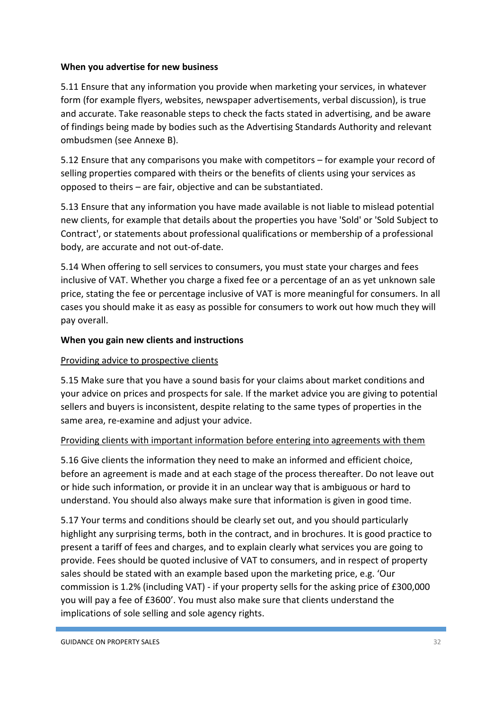# **When you advertise for new business**

5.11 Ensure that any information you provide when marketing your services, in whatever form (for example flyers, websites, newspaper advertisements, verbal discussion), is true and accurate. Take reasonable steps to check the facts stated in advertising, and be aware of findings being made by bodies such as the Advertising Standards Authority and relevant ombudsmen (see Annexe B).

5.12 Ensure that any comparisons you make with competitors – for example your record of selling properties compared with theirs or the benefits of clients using your services as opposed to theirs – are fair, objective and can be substantiated.

5.13 Ensure that any information you have made available is not liable to mislead potential new clients, for example that details about the properties you have 'Sold' or 'Sold Subject to Contract', or statements about professional qualifications or membership of a professional body, are accurate and not out-of-date.

5.14 When offering to sell services to consumers, you must state your charges and fees inclusive of VAT. Whether you charge a fixed fee or a percentage of an as yet unknown sale price, stating the fee or percentage inclusive of VAT is more meaningful for consumers. In all cases you should make it as easy as possible for consumers to work out how much they will pay overall.

# **When you gain new clients and instructions**

# Providing advice to prospective clients

5.15 Make sure that you have a sound basis for your claims about market conditions and your advice on prices and prospects for sale. If the market advice you are giving to potential sellers and buyers is inconsistent, despite relating to the same types of properties in the same area, re-examine and adjust your advice.

# Providing clients with important information before entering into agreements with them

5.16 Give clients the information they need to make an informed and efficient choice, before an agreement is made and at each stage of the process thereafter. Do not leave out or hide such information, or provide it in an unclear way that is ambiguous or hard to understand. You should also always make sure that information is given in good time.

5.17 Your terms and conditions should be clearly set out, and you should particularly highlight any surprising terms, both in the contract, and in brochures. It is good practice to present a tariff of fees and charges, and to explain clearly what services you are going to provide. Fees should be quoted inclusive of VAT to consumers, and in respect of property sales should be stated with an example based upon the marketing price, e.g. 'Our commission is 1.2% (including VAT) - if your property sells for the asking price of £300,000 you will pay a fee of £3600'. You must also make sure that clients understand the implications of sole selling and sole agency rights.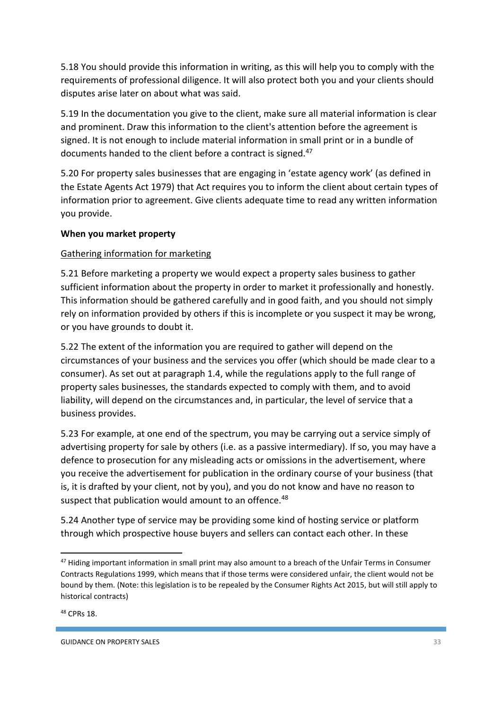5.18 You should provide this information in writing, as this will help you to comply with the requirements of professional diligence. It will also protect both you and your clients should disputes arise later on about what was said.

5.19 In the documentation you give to the client, make sure all material information is clear and prominent. Draw this information to the client's attention before the agreement is signed. It is not enough to include material information in small print or in a bundle of documents handed to the client before a contract is signed.<sup>47</sup>

5.20 For property sales businesses that are engaging in 'estate agency work' (as defined in the Estate Agents Act 1979) that Act requires you to inform the client about certain types of information prior to agreement. Give clients adequate time to read any written information you provide.

# **When you market property**

# Gathering information for marketing

5.21 Before marketing a property we would expect a property sales business to gather sufficient information about the property in order to market it professionally and honestly. This information should be gathered carefully and in good faith, and you should not simply rely on information provided by others if this is incomplete or you suspect it may be wrong, or you have grounds to doubt it.

5.22 The extent of the information you are required to gather will depend on the circumstances of your business and the services you offer (which should be made clear to a consumer). As set out at paragraph 1.4, while the regulations apply to the full range of property sales businesses, the standards expected to comply with them, and to avoid liability, will depend on the circumstances and, in particular, the level of service that a business provides.

5.23 For example, at one end of the spectrum, you may be carrying out a service simply of advertising property for sale by others (i.e. as a passive intermediary). If so, you may have a defence to prosecution for any misleading acts or omissions in the advertisement, where you receive the advertisement for publication in the ordinary course of your business (that is, it is drafted by your client, not by you), and you do not know and have no reason to suspect that publication would amount to an offence.<sup>48</sup>

5.24 Another type of service may be providing some kind of hosting service or platform through which prospective house buyers and sellers can contact each other. In these

<sup>&</sup>lt;sup>47</sup> Hiding important information in small print may also amount to a breach of the Unfair Terms in Consumer Contracts Regulations 1999, which means that if those terms were considered unfair, the client would not be bound by them. (Note: this legislation is to be repealed by the Consumer Rights Act 2015, but will still apply to historical contracts)

<sup>48</sup> CPRs 18.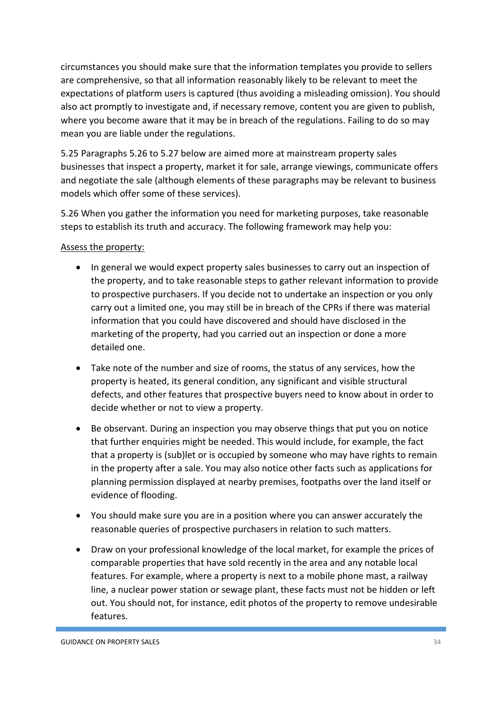circumstances you should make sure that the information templates you provide to sellers are comprehensive, so that all information reasonably likely to be relevant to meet the expectations of platform users is captured (thus avoiding a misleading omission). You should also act promptly to investigate and, if necessary remove, content you are given to publish, where you become aware that it may be in breach of the regulations. Failing to do so may mean you are liable under the regulations.

5.25 Paragraphs 5.26 to 5.27 below are aimed more at mainstream property sales businesses that inspect a property, market it for sale, arrange viewings, communicate offers and negotiate the sale (although elements of these paragraphs may be relevant to business models which offer some of these services).

5.26 When you gather the information you need for marketing purposes, take reasonable steps to establish its truth and accuracy. The following framework may help you:

# Assess the property:

- In general we would expect property sales businesses to carry out an inspection of the property, and to take reasonable steps to gather relevant information to provide to prospective purchasers. If you decide not to undertake an inspection or you only carry out a limited one, you may still be in breach of the CPRs if there was material information that you could have discovered and should have disclosed in the marketing of the property, had you carried out an inspection or done a more detailed one.
- Take note of the number and size of rooms, the status of any services, how the property is heated, its general condition, any significant and visible structural defects, and other features that prospective buyers need to know about in order to decide whether or not to view a property.
- Be observant. During an inspection you may observe things that put you on notice that further enquiries might be needed. This would include, for example, the fact that a property is (sub)let or is occupied by someone who may have rights to remain in the property after a sale. You may also notice other facts such as applications for planning permission displayed at nearby premises, footpaths over the land itself or evidence of flooding.
- You should make sure you are in a position where you can answer accurately the reasonable queries of prospective purchasers in relation to such matters.
- Draw on your professional knowledge of the local market, for example the prices of comparable properties that have sold recently in the area and any notable local features. For example, where a property is next to a mobile phone mast, a railway line, a nuclear power station or sewage plant, these facts must not be hidden or left out. You should not, for instance, edit photos of the property to remove undesirable features.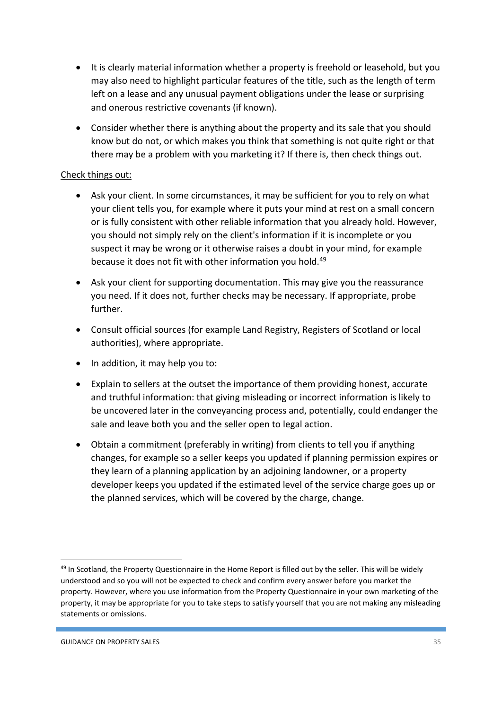- It is clearly material information whether a property is freehold or leasehold, but you may also need to highlight particular features of the title, such as the length of term left on a lease and any unusual payment obligations under the lease or surprising and onerous restrictive covenants (if known).
- Consider whether there is anything about the property and its sale that you should know but do not, or which makes you think that something is not quite right or that there may be a problem with you marketing it? If there is, then check things out.

# Check things out:

- Ask your client. In some circumstances, it may be sufficient for you to rely on what your client tells you, for example where it puts your mind at rest on a small concern or is fully consistent with other reliable information that you already hold. However, you should not simply rely on the client's information if it is incomplete or you suspect it may be wrong or it otherwise raises a doubt in your mind, for example because it does not fit with other information you hold.<sup>49</sup>
- Ask your client for supporting documentation. This may give you the reassurance you need. If it does not, further checks may be necessary. If appropriate, probe further.
- Consult official sources (for example Land Registry, Registers of Scotland or local authorities), where appropriate.
- In addition, it may help you to:
- Explain to sellers at the outset the importance of them providing honest, accurate and truthful information: that giving misleading or incorrect information is likely to be uncovered later in the conveyancing process and, potentially, could endanger the sale and leave both you and the seller open to legal action.
- Obtain a commitment (preferably in writing) from clients to tell you if anything changes, for example so a seller keeps you updated if planning permission expires or they learn of a planning application by an adjoining landowner, or a property developer keeps you updated if the estimated level of the service charge goes up or the planned services, which will be covered by the charge, change.

1

<sup>&</sup>lt;sup>49</sup> In Scotland, the Property Questionnaire in the Home Report is filled out by the seller. This will be widely understood and so you will not be expected to check and confirm every answer before you market the property. However, where you use information from the Property Questionnaire in your own marketing of the property, it may be appropriate for you to take steps to satisfy yourself that you are not making any misleading statements or omissions.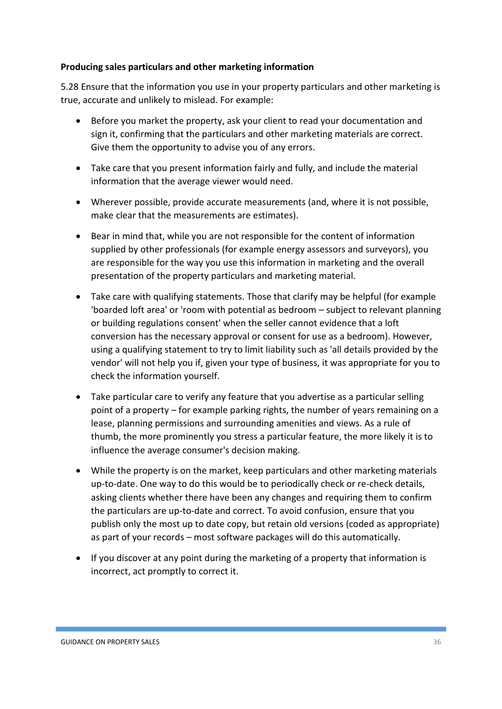# **Producing sales particulars and other marketing information**

5.28 Ensure that the information you use in your property particulars and other marketing is true, accurate and unlikely to mislead. For example:

- Before you market the property, ask your client to read your documentation and sign it, confirming that the particulars and other marketing materials are correct. Give them the opportunity to advise you of any errors.
- Take care that you present information fairly and fully, and include the material information that the average viewer would need.
- Wherever possible, provide accurate measurements (and, where it is not possible, make clear that the measurements are estimates).
- Bear in mind that, while you are not responsible for the content of information supplied by other professionals (for example energy assessors and surveyors), you are responsible for the way you use this information in marketing and the overall presentation of the property particulars and marketing material.
- Take care with qualifying statements. Those that clarify may be helpful (for example 'boarded loft area' or 'room with potential as bedroom – subject to relevant planning or building regulations consent' when the seller cannot evidence that a loft conversion has the necessary approval or consent for use as a bedroom). However, using a qualifying statement to try to limit liability such as 'all details provided by the vendor' will not help you if, given your type of business, it was appropriate for you to check the information yourself.
- Take particular care to verify any feature that you advertise as a particular selling point of a property – for example parking rights, the number of years remaining on a lease, planning permissions and surrounding amenities and views. As a rule of thumb, the more prominently you stress a particular feature, the more likely it is to influence the average consumer's decision making.
- While the property is on the market, keep particulars and other marketing materials up-to-date. One way to do this would be to periodically check or re-check details, asking clients whether there have been any changes and requiring them to confirm the particulars are up-to-date and correct. To avoid confusion, ensure that you publish only the most up to date copy, but retain old versions (coded as appropriate) as part of your records – most software packages will do this automatically.
- If you discover at any point during the marketing of a property that information is incorrect, act promptly to correct it.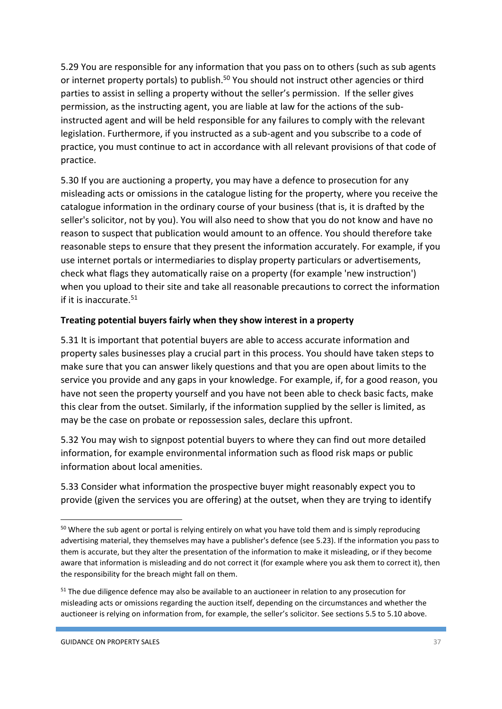5.29 You are responsible for any information that you pass on to others (such as sub agents or internet property portals) to publish.<sup>50</sup> You should not instruct other agencies or third parties to assist in selling a property without the seller's permission. If the seller gives permission, as the instructing agent, you are liable at law for the actions of the subinstructed agent and will be held responsible for any failures to comply with the relevant legislation. Furthermore, if you instructed as a sub-agent and you subscribe to a code of practice, you must continue to act in accordance with all relevant provisions of that code of practice.

5.30 If you are auctioning a property, you may have a defence to prosecution for any misleading acts or omissions in the catalogue listing for the property, where you receive the catalogue information in the ordinary course of your business (that is, it is drafted by the seller's solicitor, not by you). You will also need to show that you do not know and have no reason to suspect that publication would amount to an offence. You should therefore take reasonable steps to ensure that they present the information accurately. For example, if you use internet portals or intermediaries to display property particulars or advertisements, check what flags they automatically raise on a property (for example 'new instruction') when you upload to their site and take all reasonable precautions to correct the information if it is inaccurate. $51$ 

### **Treating potential buyers fairly when they show interest in a property**

5.31 It is important that potential buyers are able to access accurate information and property sales businesses play a crucial part in this process. You should have taken steps to make sure that you can answer likely questions and that you are open about limits to the service you provide and any gaps in your knowledge. For example, if, for a good reason, you have not seen the property yourself and you have not been able to check basic facts, make this clear from the outset. Similarly, if the information supplied by the seller is limited, as may be the case on probate or repossession sales, declare this upfront.

5.32 You may wish to signpost potential buyers to where they can find out more detailed information, for example environmental information such as flood risk maps or public information about local amenities.

5.33 Consider what information the prospective buyer might reasonably expect you to provide (given the services you are offering) at the outset, when they are trying to identify

<sup>&</sup>lt;sup>50</sup> Where the sub agent or portal is relying entirely on what you have told them and is simply reproducing advertising material, they themselves may have a publisher's defence (see 5.23). If the information you pass to them is accurate, but they alter the presentation of the information to make it misleading, or if they become aware that information is misleading and do not correct it (for example where you ask them to correct it), then the responsibility for the breach might fall on them.

<sup>&</sup>lt;sup>51</sup> The due diligence defence may also be available to an auctioneer in relation to any prosecution for misleading acts or omissions regarding the auction itself, depending on the circumstances and whether the auctioneer is relying on information from, for example, the seller's solicitor. See sections 5.5 to 5.10 above.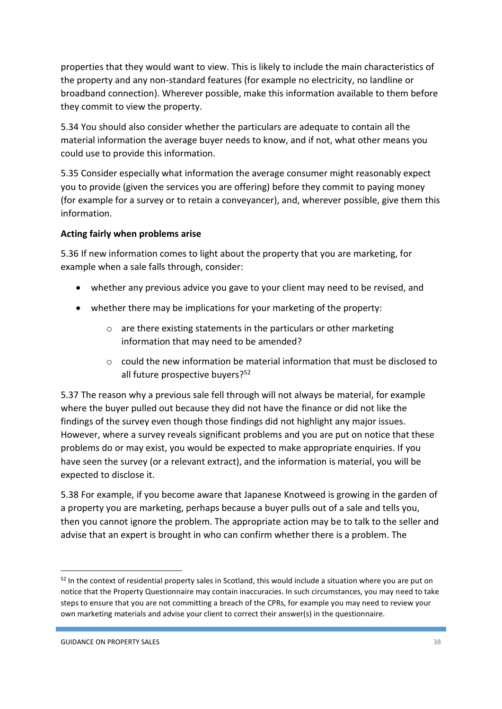properties that they would want to view. This is likely to include the main characteristics of the property and any non-standard features (for example no electricity, no landline or broadband connection). Wherever possible, make this information available to them before they commit to view the property.

5.34 You should also consider whether the particulars are adequate to contain all the material information the average buyer needs to know, and if not, what other means you could use to provide this information.

5.35 Consider especially what information the average consumer might reasonably expect you to provide (given the services you are offering) before they commit to paying money (for example for a survey or to retain a conveyancer), and, wherever possible, give them this information.

# **Acting fairly when problems arise**

5.36 If new information comes to light about the property that you are marketing, for example when a sale falls through, consider:

- whether any previous advice you gave to your client may need to be revised, and
- whether there may be implications for your marketing of the property:
	- o are there existing statements in the particulars or other marketing information that may need to be amended?
	- $\circ$  could the new information be material information that must be disclosed to all future prospective buyers?<sup>52</sup>

5.37 The reason why a previous sale fell through will not always be material, for example where the buyer pulled out because they did not have the finance or did not like the findings of the survey even though those findings did not highlight any major issues. However, where a survey reveals significant problems and you are put on notice that these problems do or may exist, you would be expected to make appropriate enquiries. If you have seen the survey (or a relevant extract), and the information is material, you will be expected to disclose it.

5.38 For example, if you become aware that Japanese Knotweed is growing in the garden of a property you are marketing, perhaps because a buyer pulls out of a sale and tells you, then you cannot ignore the problem. The appropriate action may be to talk to the seller and advise that an expert is brought in who can confirm whether there is a problem. The

1

<sup>&</sup>lt;sup>52</sup> In the context of residential property sales in Scotland, this would include a situation where you are put on notice that the Property Questionnaire may contain inaccuracies. In such circumstances, you may need to take steps to ensure that you are not committing a breach of the CPRs, for example you may need to review your own marketing materials and advise your client to correct their answer(s) in the questionnaire.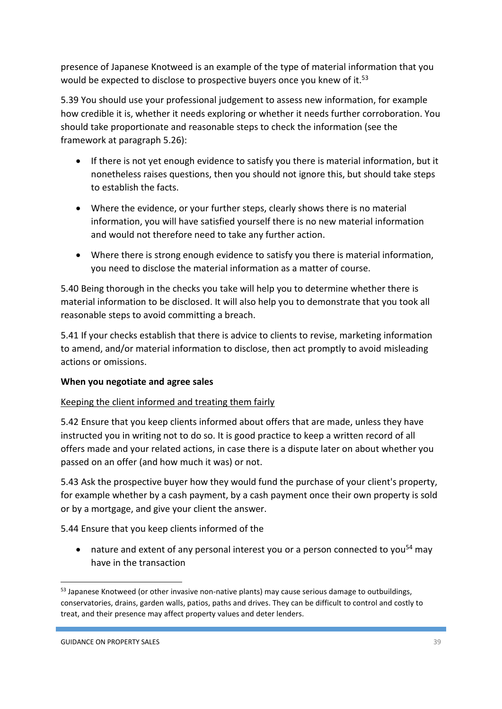presence of Japanese Knotweed is an example of the type of material information that you would be expected to disclose to prospective buyers once you knew of it.<sup>53</sup>

5.39 You should use your professional judgement to assess new information, for example how credible it is, whether it needs exploring or whether it needs further corroboration. You should take proportionate and reasonable steps to check the information (see the framework at paragraph 5.26):

- If there is not yet enough evidence to satisfy you there is material information, but it nonetheless raises questions, then you should not ignore this, but should take steps to establish the facts.
- Where the evidence, or your further steps, clearly shows there is no material information, you will have satisfied yourself there is no new material information and would not therefore need to take any further action.
- Where there is strong enough evidence to satisfy you there is material information, you need to disclose the material information as a matter of course.

5.40 Being thorough in the checks you take will help you to determine whether there is material information to be disclosed. It will also help you to demonstrate that you took all reasonable steps to avoid committing a breach.

5.41 If your checks establish that there is advice to clients to revise, marketing information to amend, and/or material information to disclose, then act promptly to avoid misleading actions or omissions.

# **When you negotiate and agree sales**

# Keeping the client informed and treating them fairly

5.42 Ensure that you keep clients informed about offers that are made, unless they have instructed you in writing not to do so. It is good practice to keep a written record of all offers made and your related actions, in case there is a dispute later on about whether you passed on an offer (and how much it was) or not.

5.43 Ask the prospective buyer how they would fund the purchase of your client's property, for example whether by a cash payment, by a cash payment once their own property is sold or by a mortgage, and give your client the answer.

5.44 Ensure that you keep clients informed of the

• nature and extent of any personal interest you or a person connected to you<sup>54</sup> may have in the transaction

 $\overline{a}$ 

 $53$  Japanese Knotweed (or other invasive non-native plants) may cause serious damage to outbuildings, conservatories, drains, garden walls, patios, paths and drives. They can be difficult to control and costly to treat, and their presence may affect property values and deter lenders.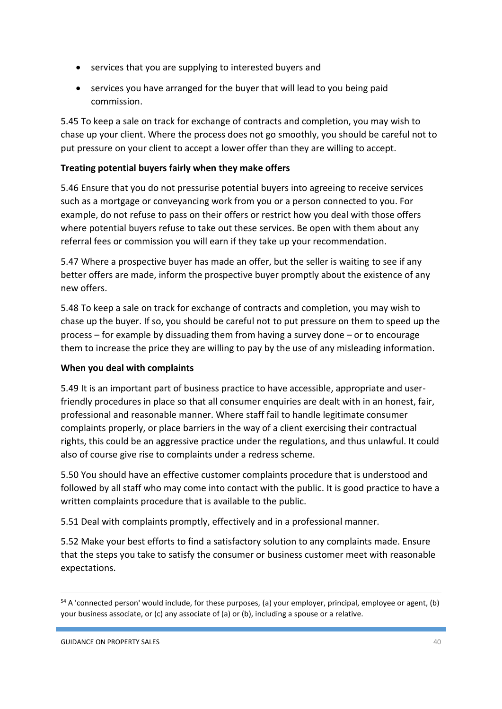- services that you are supplying to interested buyers and
- services you have arranged for the buyer that will lead to you being paid commission.

5.45 To keep a sale on track for exchange of contracts and completion, you may wish to chase up your client. Where the process does not go smoothly, you should be careful not to put pressure on your client to accept a lower offer than they are willing to accept.

# **Treating potential buyers fairly when they make offers**

5.46 Ensure that you do not pressurise potential buyers into agreeing to receive services such as a mortgage or conveyancing work from you or a person connected to you. For example, do not refuse to pass on their offers or restrict how you deal with those offers where potential buyers refuse to take out these services. Be open with them about any referral fees or commission you will earn if they take up your recommendation.

5.47 Where a prospective buyer has made an offer, but the seller is waiting to see if any better offers are made, inform the prospective buyer promptly about the existence of any new offers.

5.48 To keep a sale on track for exchange of contracts and completion, you may wish to chase up the buyer. If so, you should be careful not to put pressure on them to speed up the process – for example by dissuading them from having a survey done – or to encourage them to increase the price they are willing to pay by the use of any misleading information.

# **When you deal with complaints**

5.49 It is an important part of business practice to have accessible, appropriate and userfriendly procedures in place so that all consumer enquiries are dealt with in an honest, fair, professional and reasonable manner. Where staff fail to handle legitimate consumer complaints properly, or place barriers in the way of a client exercising their contractual rights, this could be an aggressive practice under the regulations, and thus unlawful. It could also of course give rise to complaints under a redress scheme.

5.50 You should have an effective customer complaints procedure that is understood and followed by all staff who may come into contact with the public. It is good practice to have a written complaints procedure that is available to the public.

5.51 Deal with complaints promptly, effectively and in a professional manner.

5.52 Make your best efforts to find a satisfactory solution to any complaints made. Ensure that the steps you take to satisfy the consumer or business customer meet with reasonable expectations.

 $54$  A 'connected person' would include, for these purposes, (a) your employer, principal, employee or agent, (b) your business associate, or (c) any associate of (a) or (b), including a spouse or a relative.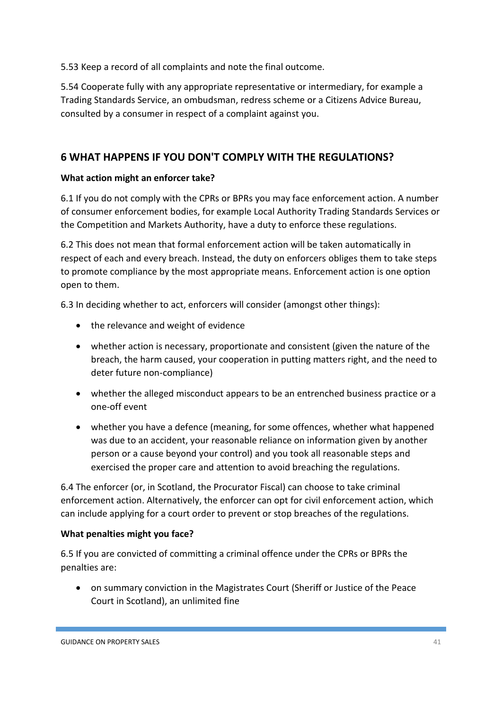5.53 Keep a record of all complaints and note the final outcome.

5.54 Cooperate fully with any appropriate representative or intermediary, for example a Trading Standards Service, an ombudsman, redress scheme or a Citizens Advice Bureau, consulted by a consumer in respect of a complaint against you.

# **6 WHAT HAPPENS IF YOU DON'T COMPLY WITH THE REGULATIONS?**

# **What action might an enforcer take?**

6.1 If you do not comply with the CPRs or BPRs you may face enforcement action. A number of consumer enforcement bodies, for example Local Authority Trading Standards Services or the Competition and Markets Authority, have a duty to enforce these regulations.

6.2 This does not mean that formal enforcement action will be taken automatically in respect of each and every breach. Instead, the duty on enforcers obliges them to take steps to promote compliance by the most appropriate means. Enforcement action is one option open to them.

6.3 In deciding whether to act, enforcers will consider (amongst other things):

- the relevance and weight of evidence
- whether action is necessary, proportionate and consistent (given the nature of the breach, the harm caused, your cooperation in putting matters right, and the need to deter future non-compliance)
- whether the alleged misconduct appears to be an entrenched business practice or a one-off event
- whether you have a defence (meaning, for some offences, whether what happened was due to an accident, your reasonable reliance on information given by another person or a cause beyond your control) and you took all reasonable steps and exercised the proper care and attention to avoid breaching the regulations.

6.4 The enforcer (or, in Scotland, the Procurator Fiscal) can choose to take criminal enforcement action. Alternatively, the enforcer can opt for civil enforcement action, which can include applying for a court order to prevent or stop breaches of the regulations.

# **What penalties might you face?**

6.5 If you are convicted of committing a criminal offence under the CPRs or BPRs the penalties are:

 on summary conviction in the Magistrates Court (Sheriff or Justice of the Peace Court in Scotland), an unlimited fine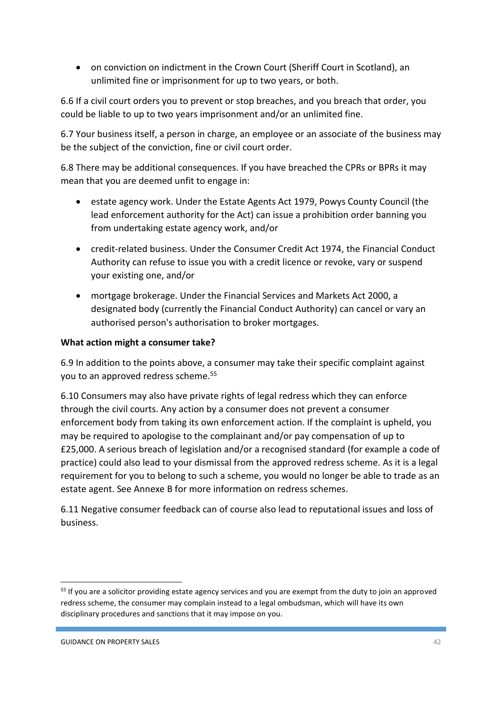on conviction on indictment in the Crown Court (Sheriff Court in Scotland), an unlimited fine or imprisonment for up to two years, or both.

6.6 If a civil court orders you to prevent or stop breaches, and you breach that order, you could be liable to up to two years imprisonment and/or an unlimited fine.

6.7 Your business itself, a person in charge, an employee or an associate of the business may be the subject of the conviction, fine or civil court order.

6.8 There may be additional consequences. If you have breached the CPRs or BPRs it may mean that you are deemed unfit to engage in:

- estate agency work. Under the Estate Agents Act 1979, Powys County Council (the lead enforcement authority for the Act) can issue a prohibition order banning you from undertaking estate agency work, and/or
- credit-related business. Under the Consumer Credit Act 1974, the Financial Conduct Authority can refuse to issue you with a credit licence or revoke, vary or suspend your existing one, and/or
- mortgage brokerage. Under the Financial Services and Markets Act 2000, a designated body (currently the Financial Conduct Authority) can cancel or vary an authorised person's authorisation to broker mortgages.

# **What action might a consumer take?**

6.9 In addition to the points above, a consumer may take their specific complaint against you to an approved redress scheme.<sup>55</sup>

6.10 Consumers may also have private rights of legal redress which they can enforce through the civil courts. Any action by a consumer does not prevent a consumer enforcement body from taking its own enforcement action. If the complaint is upheld, you may be required to apologise to the complainant and/or pay compensation of up to £25,000. A serious breach of legislation and/or a recognised standard (for example a code of practice) could also lead to your dismissal from the approved redress scheme. As it is a legal requirement for you to belong to such a scheme, you would no longer be able to trade as an estate agent. See Annexe B for more information on redress schemes.

6.11 Negative consumer feedback can of course also lead to reputational issues and loss of business.

 $\overline{a}$ 

<sup>&</sup>lt;sup>55</sup> If you are a solicitor providing estate agency services and you are exempt from the duty to join an approved redress scheme, the consumer may complain instead to a legal ombudsman, which will have its own disciplinary procedures and sanctions that it may impose on you.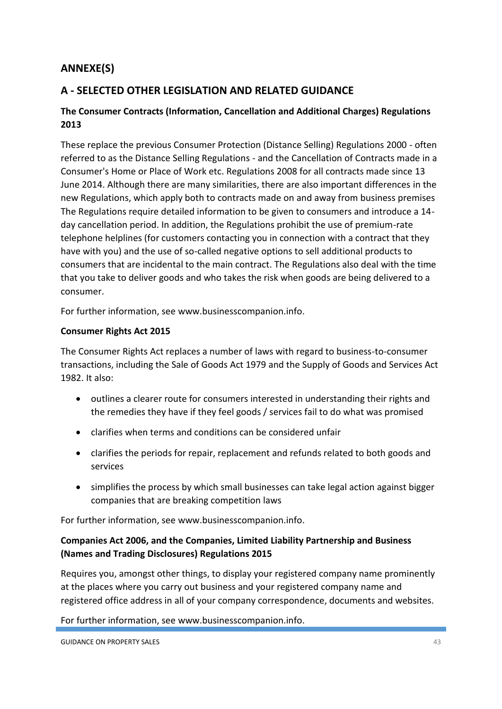# **ANNEXE(S)**

# **A - SELECTED OTHER LEGISLATION AND RELATED GUIDANCE**

# **The Consumer Contracts (Information, Cancellation and Additional Charges) Regulations 2013**

These replace the previous Consumer Protection (Distance Selling) Regulations 2000 - often referred to as the Distance Selling Regulations - and the Cancellation of Contracts made in a Consumer's Home or Place of Work etc. Regulations 2008 for all contracts made since 13 June 2014. Although there are many similarities, there are also important differences in the new Regulations, which apply both to contracts made on and away from business premises The Regulations require detailed information to be given to consumers and introduce a 14 day cancellation period. In addition, the Regulations prohibit the use of premium-rate telephone helplines (for customers contacting you in connection with a contract that they have with you) and the use of so-called negative options to sell additional products to consumers that are incidental to the main contract. The Regulations also deal with the time that you take to deliver goods and who takes the risk when goods are being delivered to a consumer.

For further information, see www.businesscompanion.info.

# **Consumer Rights Act 2015**

The Consumer Rights Act replaces a number of laws with regard to business-to-consumer transactions, including the Sale of Goods Act 1979 and the Supply of Goods and Services Act 1982. It also:

- outlines a clearer route for consumers interested in understanding their rights and the remedies they have if they feel goods / services fail to do what was promised
- clarifies when terms and conditions can be considered unfair
- clarifies the periods for repair, replacement and refunds related to both goods and services
- simplifies the process by which small businesses can take legal action against bigger companies that are breaking competition laws

For further information, see www.businesscompanion.info.

# **Companies Act 2006, and the Companies, Limited Liability Partnership and Business (Names and Trading Disclosures) Regulations 2015**

Requires you, amongst other things, to display your registered company name prominently at the places where you carry out business and your registered company name and registered office address in all of your company correspondence, documents and websites.

For further information, see www.businesscompanion.info.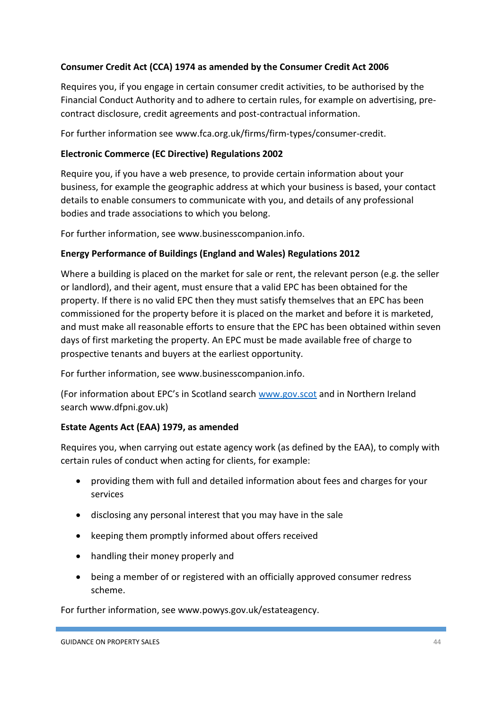# **Consumer Credit Act (CCA) 1974 as amended by the Consumer Credit Act 2006**

Requires you, if you engage in certain consumer credit activities, to be authorised by the Financial Conduct Authority and to adhere to certain rules, for example on advertising, precontract disclosure, credit agreements and post-contractual information.

For further information see www.fca.org.uk/firms/firm-types/consumer-credit.

# **Electronic Commerce (EC Directive) Regulations 2002**

Require you, if you have a web presence, to provide certain information about your business, for example the geographic address at which your business is based, your contact details to enable consumers to communicate with you, and details of any professional bodies and trade associations to which you belong.

For further information, see www.businesscompanion.info.

# **Energy Performance of Buildings (England and Wales) Regulations 2012**

Where a building is placed on the market for sale or rent, the relevant person (e.g. the seller or landlord), and their agent, must ensure that a valid EPC has been obtained for the property. If there is no valid EPC then they must satisfy themselves that an EPC has been commissioned for the property before it is placed on the market and before it is marketed, and must make all reasonable efforts to ensure that the EPC has been obtained within seven days of first marketing the property. An EPC must be made available free of charge to prospective tenants and buyers at the earliest opportunity.

For further information, see www.businesscompanion.info.

(For information about EPC's in Scotland search [www.gov.scot](http://www.gov.scot/) and in Northern Ireland search www.dfpni.gov.uk)

# **Estate Agents Act (EAA) 1979, as amended**

Requires you, when carrying out estate agency work (as defined by the EAA), to comply with certain rules of conduct when acting for clients, for example:

- providing them with full and detailed information about fees and charges for your services
- disclosing any personal interest that you may have in the sale
- keeping them promptly informed about offers received
- handling their money properly and
- being a member of or registered with an officially approved consumer redress scheme.

For further information, see www.powys.gov.uk/estateagency.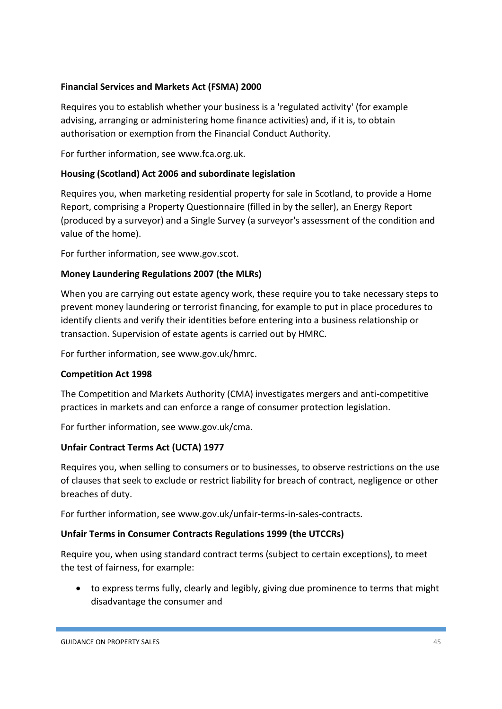# **Financial Services and Markets Act (FSMA) 2000**

Requires you to establish whether your business is a 'regulated activity' (for example advising, arranging or administering home finance activities) and, if it is, to obtain authorisation or exemption from the Financial Conduct Authority.

For further information, see www.fca.org.uk.

# **Housing (Scotland) Act 2006 and subordinate legislation**

Requires you, when marketing residential property for sale in Scotland, to provide a Home Report, comprising a Property Questionnaire (filled in by the seller), an Energy Report (produced by a surveyor) and a Single Survey (a surveyor's assessment of the condition and value of the home).

For further information, see www.gov.scot.

# **Money Laundering Regulations 2007 (the MLRs)**

When you are carrying out estate agency work, these require you to take necessary steps to prevent money laundering or terrorist financing, for example to put in place procedures to identify clients and verify their identities before entering into a business relationship or transaction. Supervision of estate agents is carried out by HMRC.

For further information, see www.gov.uk/hmrc.

### **Competition Act 1998**

The Competition and Markets Authority (CMA) investigates mergers and anti-competitive practices in markets and can enforce a range of consumer protection legislation.

For further information, see www.gov.uk/cma.

### **Unfair Contract Terms Act (UCTA) 1977**

Requires you, when selling to consumers or to businesses, to observe restrictions on the use of clauses that seek to exclude or restrict liability for breach of contract, negligence or other breaches of duty.

For further information, see www.gov.uk/unfair-terms-in-sales-contracts.

### **Unfair Terms in Consumer Contracts Regulations 1999 (the UTCCRs)**

Require you, when using standard contract terms (subject to certain exceptions), to meet the test of fairness, for example:

 to express terms fully, clearly and legibly, giving due prominence to terms that might disadvantage the consumer and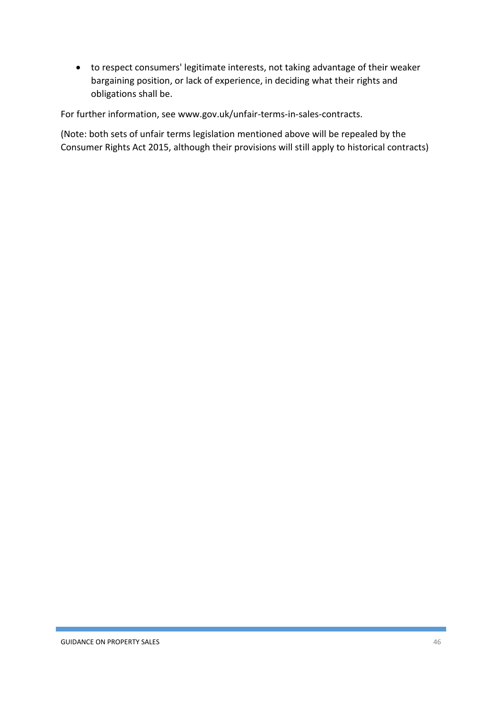to respect consumers' legitimate interests, not taking advantage of their weaker bargaining position, or lack of experience, in deciding what their rights and obligations shall be.

For further information, see www.gov.uk/unfair-terms-in-sales-contracts.

(Note: both sets of unfair terms legislation mentioned above will be repealed by the Consumer Rights Act 2015, although their provisions will still apply to historical contracts)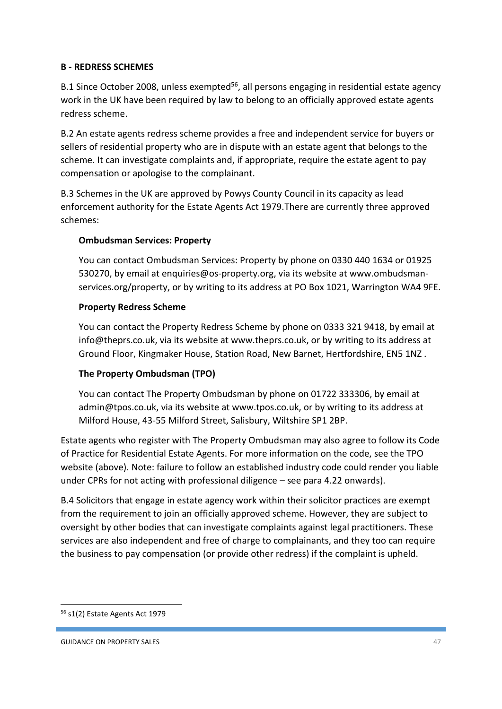# **B - REDRESS SCHEMES**

B.1 Since October 2008, unless exempted<sup>56</sup>, all persons engaging in residential estate agency work in the UK have been required by law to belong to an officially approved estate agents redress scheme.

B.2 An estate agents redress scheme provides a free and independent service for buyers or sellers of residential property who are in dispute with an estate agent that belongs to the scheme. It can investigate complaints and, if appropriate, require the estate agent to pay compensation or apologise to the complainant.

B.3 Schemes in the UK are approved by Powys County Council in its capacity as lead enforcement authority for the Estate Agents Act 1979.There are currently three approved schemes:

# **Ombudsman Services: Property**

You can contact Ombudsman Services: Property by phone on 0330 440 1634 or 01925 530270, by email at enquiries@os-property.org, via its website at www.ombudsmanservices.org/property, or by writing to its address at PO Box 1021, Warrington WA4 9FE.

# **Property Redress Scheme**

You can contact the Property Redress Scheme by phone on 0333 321 9418, by email at info@theprs.co.uk, via its website at www.theprs.co.uk, or by writing to its address at Ground Floor, Kingmaker House, Station Road, New Barnet, Hertfordshire, EN5 1NZ .

# **The Property Ombudsman (TPO)**

You can contact The Property Ombudsman by phone on 01722 333306, by email at admin@tpos.co.uk, via its website at www.tpos.co.uk, or by writing to its address at Milford House, 43-55 Milford Street, Salisbury, Wiltshire SP1 2BP.

Estate agents who register with The Property Ombudsman may also agree to follow its Code of Practice for Residential Estate Agents. For more information on the code, see the TPO website (above). Note: failure to follow an established industry code could render you liable under CPRs for not acting with professional diligence – see para 4.22 onwards).

B.4 Solicitors that engage in estate agency work within their solicitor practices are exempt from the requirement to join an officially approved scheme. However, they are subject to oversight by other bodies that can investigate complaints against legal practitioners. These services are also independent and free of charge to complainants, and they too can require the business to pay compensation (or provide other redress) if the complaint is upheld.

<sup>56</sup> s1(2) Estate Agents Act 1979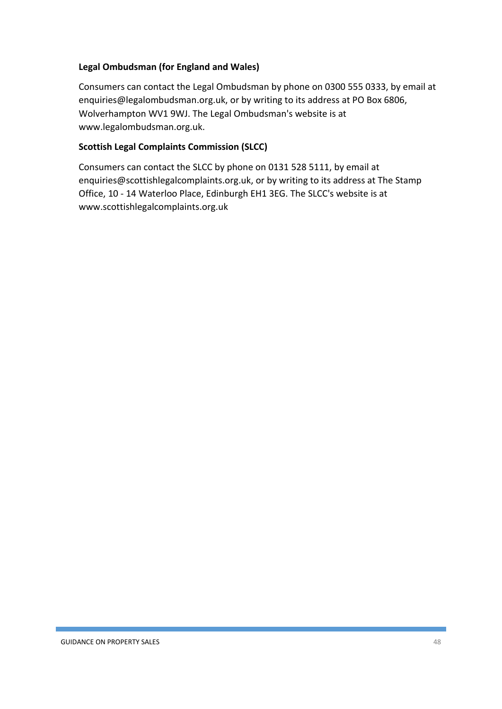# **Legal Ombudsman (for England and Wales)**

Consumers can contact the Legal Ombudsman by phone on 0300 555 0333, by email at enquiries@legalombudsman.org.uk, or by writing to its address at PO Box 6806, Wolverhampton WV1 9WJ. The Legal Ombudsman's website is at www.legalombudsman.org.uk.

# **Scottish Legal Complaints Commission (SLCC)**

Consumers can contact the SLCC by phone on 0131 528 5111, by email at enquiries@scottishlegalcomplaints.org.uk, or by writing to its address at The Stamp Office, 10 - 14 Waterloo Place, Edinburgh EH1 3EG. The SLCC's website is at www.scottishlegalcomplaints.org.uk